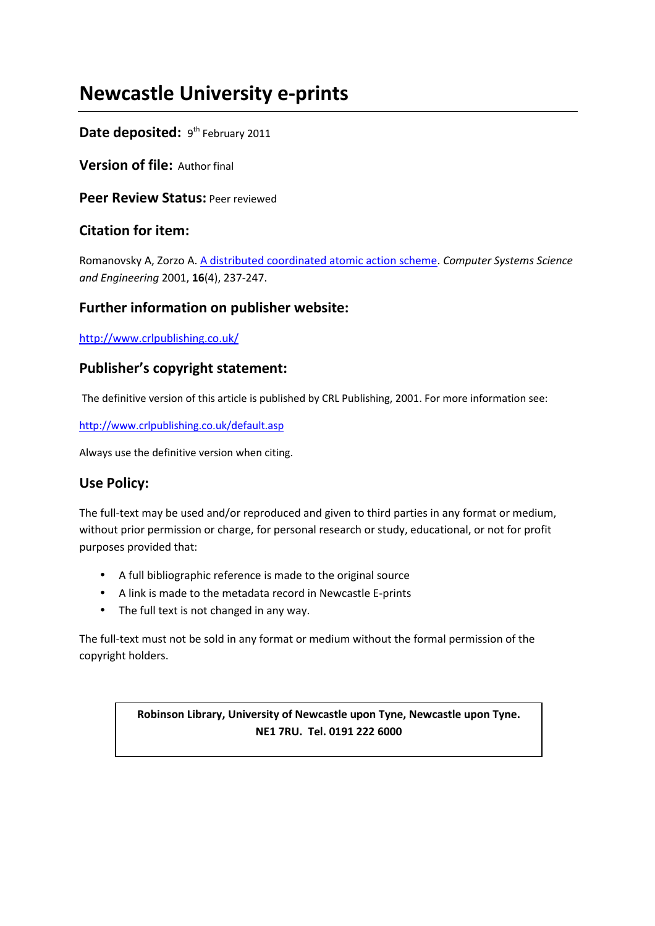# **Newcastle University e-prints**

# Date deposited: 9<sup>th</sup> February 2011

**Version of file:** Author final

**Peer Review Status:** Peer reviewed

# **Citation for item:**

Romanovsky A, Zorzo A. A distributed coordinated atomic action scheme. *Computer Systems Science and Engineering* 2001, **16**(4), 237-247.

# **Further information on publisher website:**

http://www.crlpublishing.co.uk/

# **Publisher's copyright statement:**

The definitive version of this article is published by CRL Publishing, 2001. For more information see:

http://www.crlpublishing.co.uk/default.asp

Always use the definitive version when citing.

# **Use Policy:**

The full-text may be used and/or reproduced and given to third parties in any format or medium, without prior permission or charge, for personal research or study, educational, or not for profit purposes provided that:

- A full bibliographic reference is made to the original source
- A link is made to the metadata record in Newcastle E-prints
- The full text is not changed in any way.

The full-text must not be sold in any format or medium without the formal permission of the copyright holders.

> **Robinson Library, University of Newcastle upon Tyne, Newcastle upon Tyne. NE1 7RU. Tel. 0191 222 6000**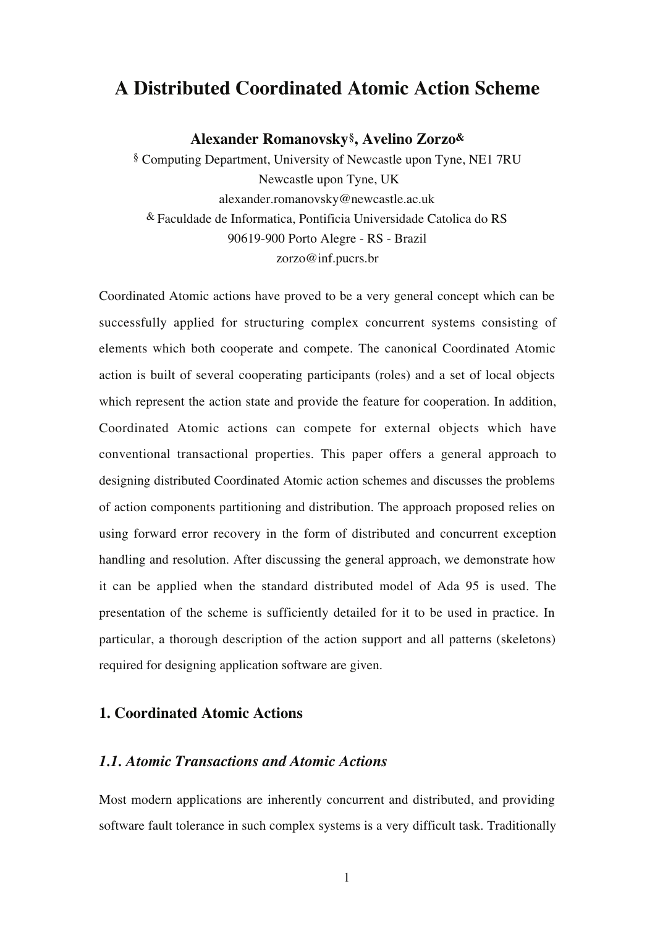# **A Distributed Coordinated Atomic Action Scheme**

**Alexander Romanovsky§, Avelino Zorzo&**

§ Computing Department, University of Newcastle upon Tyne, NE1 7RU Newcastle upon Tyne, UK alexander.romanovsky@newcastle.ac.uk & Faculdade de Informatica, Pontificia Universidade Catolica do RS 90619-900 Porto Alegre - RS - Brazil zorzo@inf.pucrs.br

Coordinated Atomic actions have proved to be a very general concept which can be successfully applied for structuring complex concurrent systems consisting of elements which both cooperate and compete. The canonical Coordinated Atomic action is built of several cooperating participants (roles) and a set of local objects which represent the action state and provide the feature for cooperation. In addition, Coordinated Atomic actions can compete for external objects which have conventional transactional properties. This paper offers a general approach to designing distributed Coordinated Atomic action schemes and discusses the problems of action components partitioning and distribution. The approach proposed relies on using forward error recovery in the form of distributed and concurrent exception handling and resolution. After discussing the general approach, we demonstrate how it can be applied when the standard distributed model of Ada 95 is used. The presentation of the scheme is sufficiently detailed for it to be used in practice. In particular, a thorough description of the action support and all patterns (skeletons) required for designing application software are given.

# **1. Coordinated Atomic Actions**

# *1.1. Atomic Transactions and Atomic Actions*

Most modern applications are inherently concurrent and distributed, and providing software fault tolerance in such complex systems is a very difficult task. Traditionally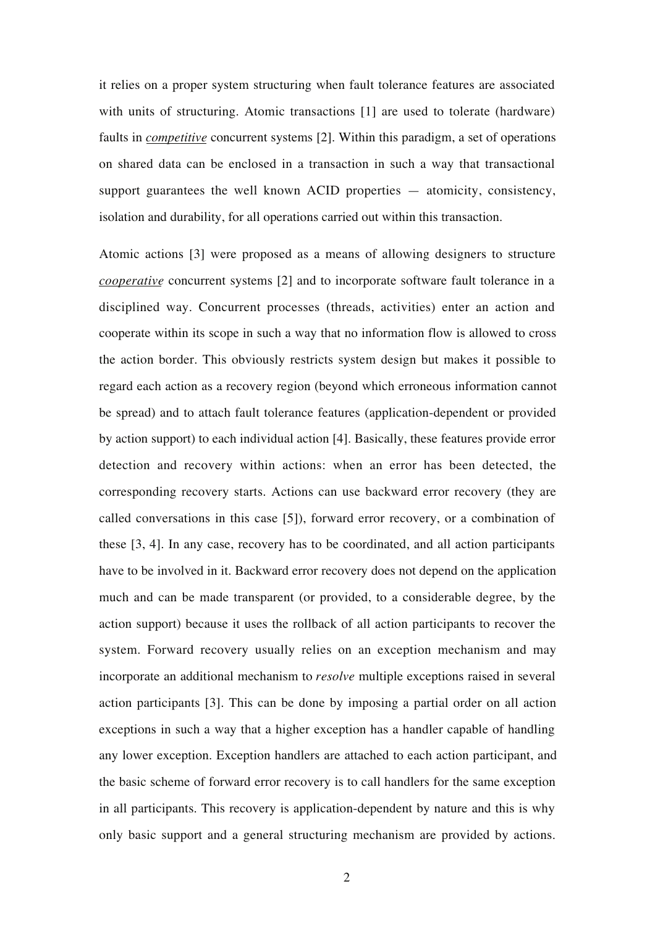it relies on a proper system structuring when fault tolerance features are associated with units of structuring. Atomic transactions [1] are used to tolerate (hardware) faults in *competitive* concurrent systems [2]. Within this paradigm, a set of operations on shared data can be enclosed in a transaction in such a way that transactional support guarantees the well known ACID properties — atomicity, consistency, isolation and durability, for all operations carried out within this transaction.

Atomic actions [3] were proposed as a means of allowing designers to structure *cooperative* concurrent systems [2] and to incorporate software fault tolerance in a disciplined way. Concurrent processes (threads, activities) enter an action and cooperate within its scope in such a way that no information flow is allowed to cross the action border. This obviously restricts system design but makes it possible to regard each action as a recovery region (beyond which erroneous information cannot be spread) and to attach fault tolerance features (application-dependent or provided by action support) to each individual action [4]. Basically, these features provide error detection and recovery within actions: when an error has been detected, the corresponding recovery starts. Actions can use backward error recovery (they are called conversations in this case [5]), forward error recovery, or a combination of these [3, 4]. In any case, recovery has to be coordinated, and all action participants have to be involved in it. Backward error recovery does not depend on the application much and can be made transparent (or provided, to a considerable degree, by the action support) because it uses the rollback of all action participants to recover the system. Forward recovery usually relies on an exception mechanism and may incorporate an additional mechanism to *resolve* multiple exceptions raised in several action participants [3]. This can be done by imposing a partial order on all action exceptions in such a way that a higher exception has a handler capable of handling any lower exception. Exception handlers are attached to each action participant, and the basic scheme of forward error recovery is to call handlers for the same exception in all participants. This recovery is application-dependent by nature and this is why only basic support and a general structuring mechanism are provided by actions.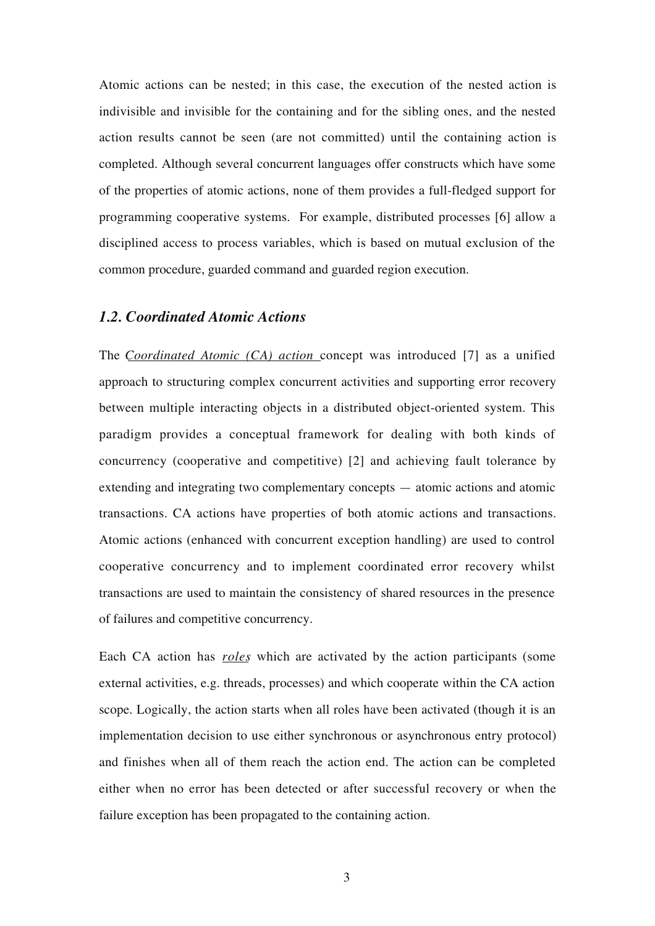Atomic actions can be nested; in this case, the execution of the nested action is indivisible and invisible for the containing and for the sibling ones, and the nested action results cannot be seen (are not committed) until the containing action is completed. Although several concurrent languages offer constructs which have some of the properties of atomic actions, none of them provides a full-fledged support for programming cooperative systems. For example, distributed processes [6] allow a disciplined access to process variables, which is based on mutual exclusion of the common procedure, guarded command and guarded region execution.

#### *1.2. Coordinated Atomic Actions*

The *Coordinated Atomic (CA) action* concept was introduced [7] as a unified approach to structuring complex concurrent activities and supporting error recovery between multiple interacting objects in a distributed object-oriented system. This paradigm provides a conceptual framework for dealing with both kinds of concurrency (cooperative and competitive) [2] and achieving fault tolerance by extending and integrating two complementary concepts — atomic actions and atomic transactions. CA actions have properties of both atomic actions and transactions. Atomic actions (enhanced with concurrent exception handling) are used to control cooperative concurrency and to implement coordinated error recovery whilst transactions are used to maintain the consistency of shared resources in the presence of failures and competitive concurrency.

Each CA action has *roles* which are activated by the action participants (some external activities, e.g. threads, processes) and which cooperate within the CA action scope. Logically, the action starts when all roles have been activated (though it is an implementation decision to use either synchronous or asynchronous entry protocol) and finishes when all of them reach the action end. The action can be completed either when no error has been detected or after successful recovery or when the failure exception has been propagated to the containing action.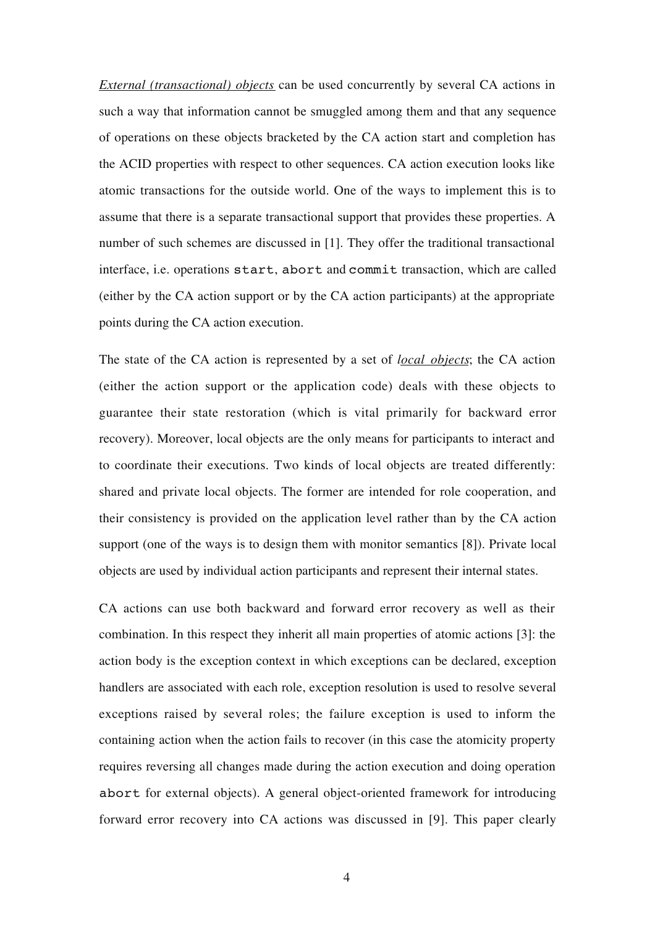*External (transactional) objects* can be used concurrently by several CA actions in such a way that information cannot be smuggled among them and that any sequence of operations on these objects bracketed by the CA action start and completion has the ACID properties with respect to other sequences. CA action execution looks like atomic transactions for the outside world. One of the ways to implement this is to assume that there is a separate transactional support that provides these properties. A number of such schemes are discussed in [1]. They offer the traditional transactional interface, i.e. operations start, abort and commit transaction, which are called (either by the CA action support or by the CA action participants) at the appropriate points during the CA action execution.

The state of the CA action is represented by a set of *local objects*; the CA action (either the action support or the application code) deals with these objects to guarantee their state restoration (which is vital primarily for backward error recovery). Moreover, local objects are the only means for participants to interact and to coordinate their executions. Two kinds of local objects are treated differently: shared and private local objects. The former are intended for role cooperation, and their consistency is provided on the application level rather than by the CA action support (one of the ways is to design them with monitor semantics [8]). Private local objects are used by individual action participants and represent their internal states.

CA actions can use both backward and forward error recovery as well as their combination. In this respect they inherit all main properties of atomic actions [3]: the action body is the exception context in which exceptions can be declared, exception handlers are associated with each role, exception resolution is used to resolve several exceptions raised by several roles; the failure exception is used to inform the containing action when the action fails to recover (in this case the atomicity property requires reversing all changes made during the action execution and doing operation abort for external objects). A general object-oriented framework for introducing forward error recovery into CA actions was discussed in [9]. This paper clearly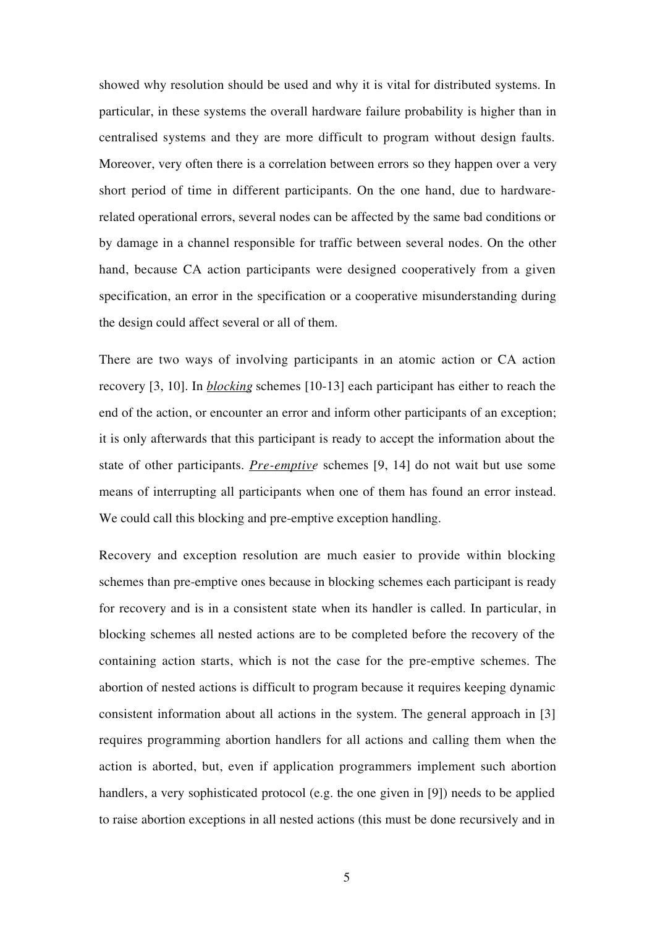showed why resolution should be used and why it is vital for distributed systems. In particular, in these systems the overall hardware failure probability is higher than in centralised systems and they are more difficult to program without design faults. Moreover, very often there is a correlation between errors so they happen over a very short period of time in different participants. On the one hand, due to hardwarerelated operational errors, several nodes can be affected by the same bad conditions or by damage in a channel responsible for traffic between several nodes. On the other hand, because CA action participants were designed cooperatively from a given specification, an error in the specification or a cooperative misunderstanding during the design could affect several or all of them.

There are two ways of involving participants in an atomic action or CA action recovery [3, 10]. In *blocking* schemes [10-13] each participant has either to reach the end of the action, or encounter an error and inform other participants of an exception; it is only afterwards that this participant is ready to accept the information about the state of other participants. *Pre-emptive* schemes [9, 14] do not wait but use some means of interrupting all participants when one of them has found an error instead. We could call this blocking and pre-emptive exception handling.

Recovery and exception resolution are much easier to provide within blocking schemes than pre-emptive ones because in blocking schemes each participant is ready for recovery and is in a consistent state when its handler is called. In particular, in blocking schemes all nested actions are to be completed before the recovery of the containing action starts, which is not the case for the pre-emptive schemes. The abortion of nested actions is difficult to program because it requires keeping dynamic consistent information about all actions in the system. The general approach in [3] requires programming abortion handlers for all actions and calling them when the action is aborted, but, even if application programmers implement such abortion handlers, a very sophisticated protocol (e.g. the one given in [9]) needs to be applied to raise abortion exceptions in all nested actions (this must be done recursively and in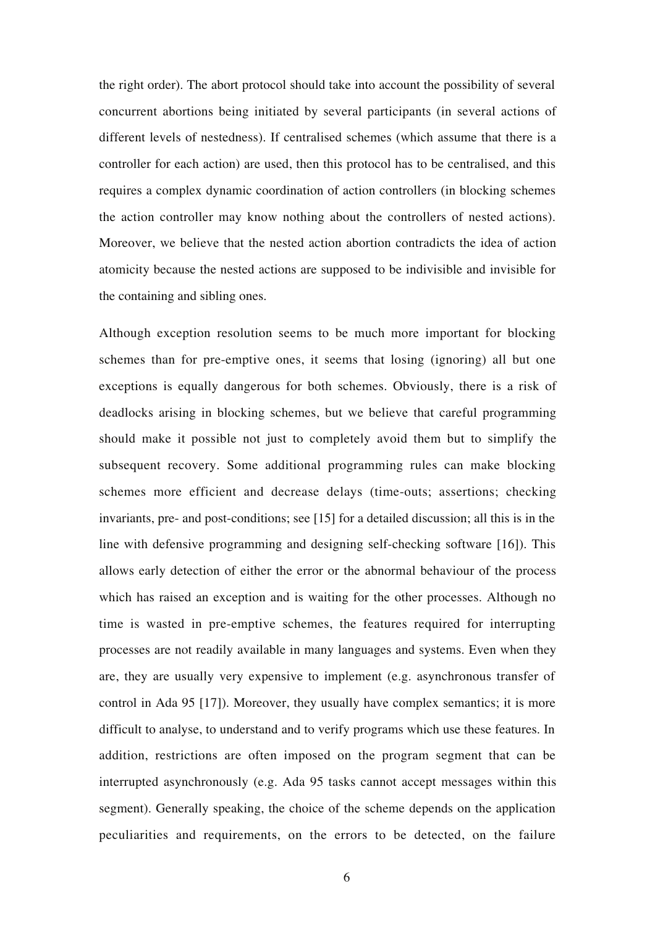the right order). The abort protocol should take into account the possibility of several concurrent abortions being initiated by several participants (in several actions of different levels of nestedness). If centralised schemes (which assume that there is a controller for each action) are used, then this protocol has to be centralised, and this requires a complex dynamic coordination of action controllers (in blocking schemes the action controller may know nothing about the controllers of nested actions). Moreover, we believe that the nested action abortion contradicts the idea of action atomicity because the nested actions are supposed to be indivisible and invisible for the containing and sibling ones.

Although exception resolution seems to be much more important for blocking schemes than for pre-emptive ones, it seems that losing (ignoring) all but one exceptions is equally dangerous for both schemes. Obviously, there is a risk of deadlocks arising in blocking schemes, but we believe that careful programming should make it possible not just to completely avoid them but to simplify the subsequent recovery. Some additional programming rules can make blocking schemes more efficient and decrease delays (time-outs; assertions; checking invariants, pre- and post-conditions; see [15] for a detailed discussion; all this is in the line with defensive programming and designing self-checking software [16]). This allows early detection of either the error or the abnormal behaviour of the process which has raised an exception and is waiting for the other processes. Although no time is wasted in pre-emptive schemes, the features required for interrupting processes are not readily available in many languages and systems. Even when they are, they are usually very expensive to implement (e.g. asynchronous transfer of control in Ada 95 [17]). Moreover, they usually have complex semantics; it is more difficult to analyse, to understand and to verify programs which use these features. In addition, restrictions are often imposed on the program segment that can be interrupted asynchronously (e.g. Ada 95 tasks cannot accept messages within this segment). Generally speaking, the choice of the scheme depends on the application peculiarities and requirements, on the errors to be detected, on the failure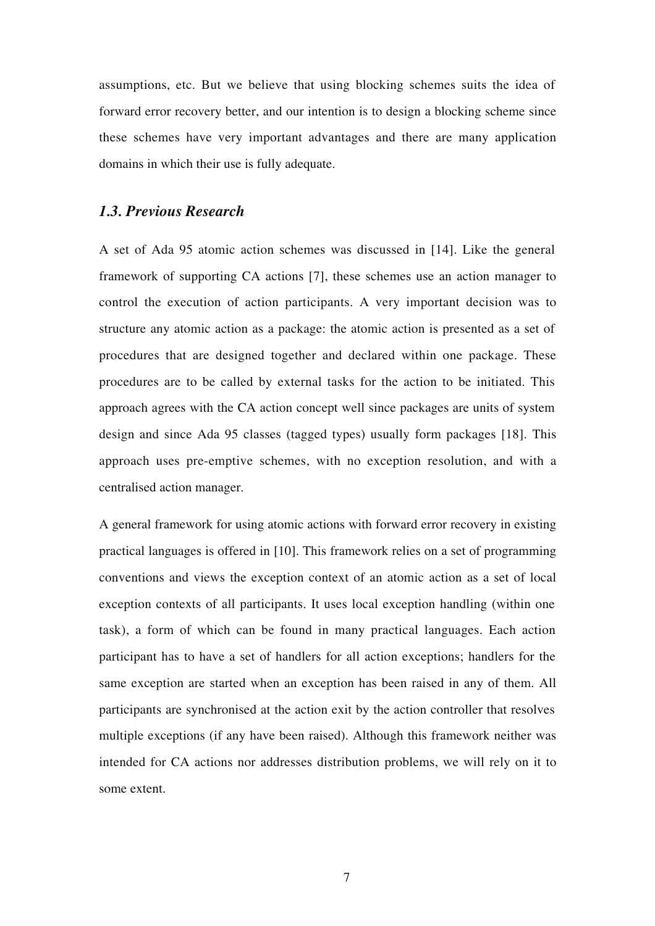assumptions, etc. But we believe that using blocking schemes suits the idea of forward error recovery better, and our intention is to design a blocking scheme since these schemes have very important advantages and there are many application domains in which their use is fully adequate.

#### *1.3. Previous Research*

A set of Ada 95 atomic action schemes was discussed in [14]. Like the general framework of supporting CA actions [7], these schemes use an action manager to control the execution of action participants. A very important decision was to structure any atomic action as a package: the atomic action is presented as a set of procedures that are designed together and declared within one package. These procedures are to be called by external tasks for the action to be initiated. This approach agrees with the CA action concept well since packages are units of system design and since Ada 95 classes (tagged types) usually form packages [18]. This approach uses pre-emptive schemes, with no exception resolution, and with a centralised action manager.

A general framework for using atomic actions with forward error recovery in existing practical languages is offered in [10]. This framework relies on a set of programming conventions and views the exception context of an atomic action as a set of local exception contexts of all participants. It uses local exception handling (within one task), a form of which can be found in many practical languages. Each action participant has to have a set of handlers for all action exceptions; handlers for the same exception are started when an exception has been raised in any of them. All participants are synchronised at the action exit by the action controller that resolves multiple exceptions (if any have been raised). Although this framework neither was intended for CA actions nor addresses distribution problems, we will rely on it to some extent.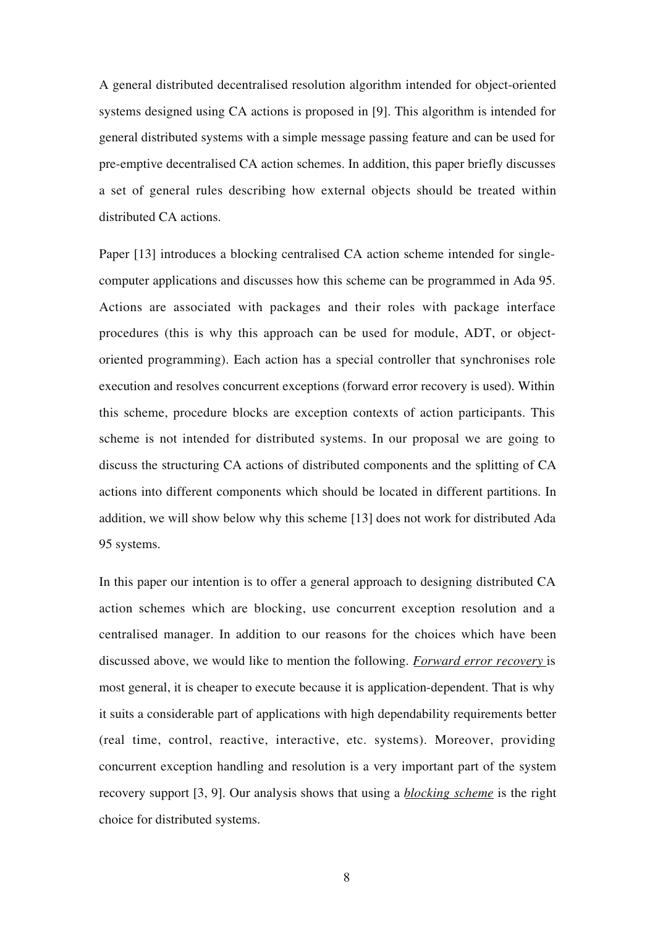A general distributed decentralised resolution algorithm intended for object-oriented systems designed using CA actions is proposed in [9]. This algorithm is intended for general distributed systems with a simple message passing feature and can be used for pre-emptive decentralised CA action schemes. In addition, this paper briefly discusses a set of general rules describing how external objects should be treated within distributed CA actions.

Paper [13] introduces a blocking centralised CA action scheme intended for singlecomputer applications and discusses how this scheme can be programmed in Ada 95. Actions are associated with packages and their roles with package interface procedures (this is why this approach can be used for module, ADT, or objectoriented programming). Each action has a special controller that synchronises role execution and resolves concurrent exceptions (forward error recovery is used). Within this scheme, procedure blocks are exception contexts of action participants. This scheme is not intended for distributed systems. In our proposal we are going to discuss the structuring CA actions of distributed components and the splitting of CA actions into different components which should be located in different partitions. In addition, we will show below why this scheme [13] does not work for distributed Ada 95 systems.

In this paper our intention is to offer a general approach to designing distributed CA action schemes which are blocking, use concurrent exception resolution and a centralised manager. In addition to our reasons for the choices which have been discussed above, we would like to mention the following. *Forward error recovery* is most general, it is cheaper to execute because it is application-dependent. That is why it suits a considerable part of applications with high dependability requirements better (real time, control, reactive, interactive, etc. systems). Moreover, providing concurrent exception handling and resolution is a very important part of the system recovery support [3, 9]. Our analysis shows that using a *blocking scheme* is the right choice for distributed systems.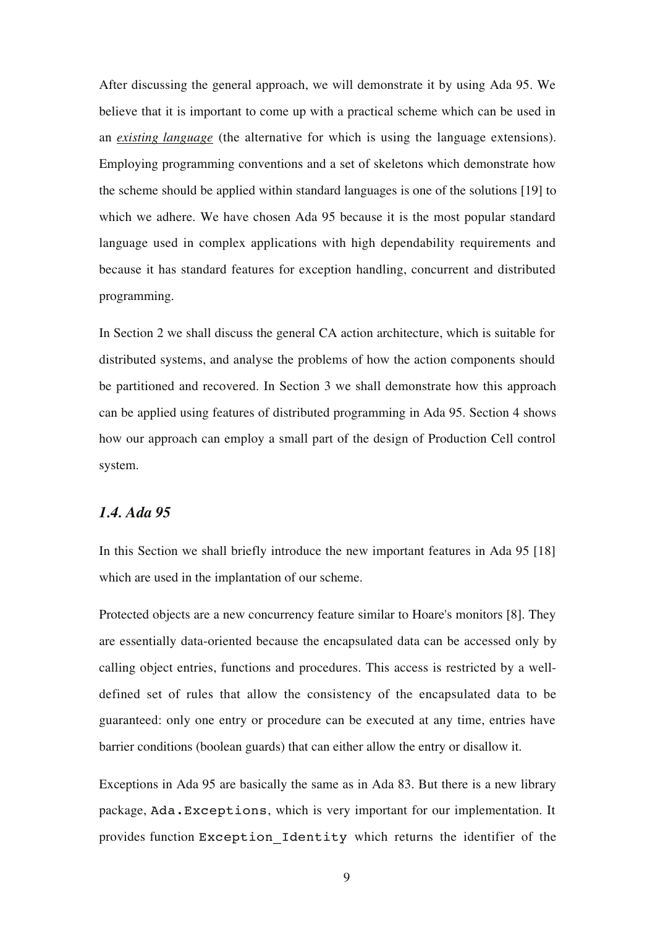After discussing the general approach, we will demonstrate it by using Ada 95. We believe that it is important to come up with a practical scheme which can be used in an *existing language* (the alternative for which is using the language extensions). Employing programming conventions and a set of skeletons which demonstrate how the scheme should be applied within standard languages is one of the solutions [19] to which we adhere. We have chosen Ada 95 because it is the most popular standard language used in complex applications with high dependability requirements and because it has standard features for exception handling, concurrent and distributed programming.

In Section 2 we shall discuss the general CA action architecture, which is suitable for distributed systems, and analyse the problems of how the action components should be partitioned and recovered. In Section 3 we shall demonstrate how this approach can be applied using features of distributed programming in Ada 95. Section 4 shows how our approach can employ a small part of the design of Production Cell control system.

# *1.4. Ada 95*

In this Section we shall briefly introduce the new important features in Ada 95 [18] which are used in the implantation of our scheme.

Protected objects are a new concurrency feature similar to Hoare's monitors [8]. They are essentially data-oriented because the encapsulated data can be accessed only by calling object entries, functions and procedures. This access is restricted by a welldefined set of rules that allow the consistency of the encapsulated data to be guaranteed: only one entry or procedure can be executed at any time, entries have barrier conditions (boolean guards) that can either allow the entry or disallow it.

Exceptions in Ada 95 are basically the same as in Ada 83. But there is a new library package, Ada.Exceptions, which is very important for our implementation. It provides function Exception Identity which returns the identifier of the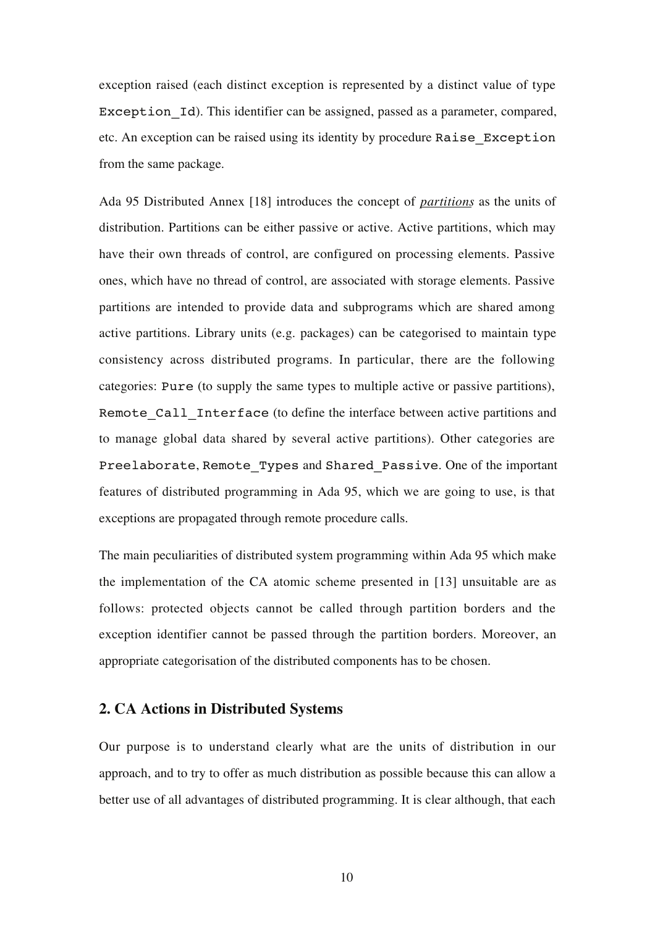exception raised (each distinct exception is represented by a distinct value of type Exception Id). This identifier can be assigned, passed as a parameter, compared, etc. An exception can be raised using its identity by procedure Raise\_Exception from the same package.

Ada 95 Distributed Annex [18] introduces the concept of *partitions* as the units of distribution. Partitions can be either passive or active. Active partitions, which may have their own threads of control, are configured on processing elements. Passive ones, which have no thread of control, are associated with storage elements. Passive partitions are intended to provide data and subprograms which are shared among active partitions. Library units (e.g. packages) can be categorised to maintain type consistency across distributed programs. In particular, there are the following categories: Pure (to supply the same types to multiple active or passive partitions), Remote Call Interface (to define the interface between active partitions and to manage global data shared by several active partitions). Other categories are Preelaborate, Remote Types and Shared Passive. One of the important features of distributed programming in Ada 95, which we are going to use, is that exceptions are propagated through remote procedure calls.

The main peculiarities of distributed system programming within Ada 95 which make the implementation of the CA atomic scheme presented in [13] unsuitable are as follows: protected objects cannot be called through partition borders and the exception identifier cannot be passed through the partition borders. Moreover, an appropriate categorisation of the distributed components has to be chosen.

# **2. CA Actions in Distributed Systems**

Our purpose is to understand clearly what are the units of distribution in our approach, and to try to offer as much distribution as possible because this can allow a better use of all advantages of distributed programming. It is clear although, that each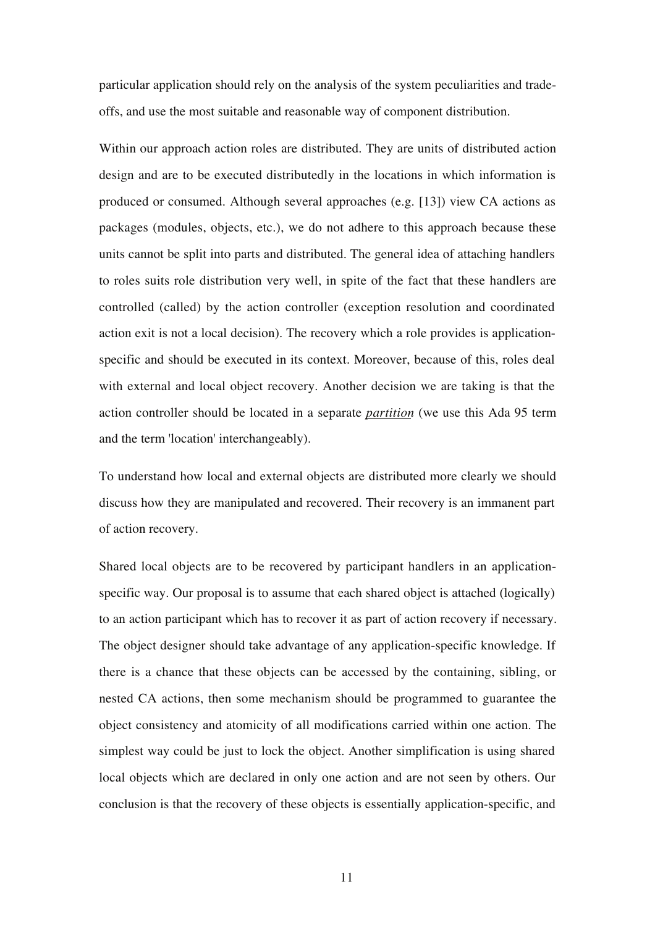particular application should rely on the analysis of the system peculiarities and tradeoffs, and use the most suitable and reasonable way of component distribution.

Within our approach action roles are distributed. They are units of distributed action design and are to be executed distributedly in the locations in which information is produced or consumed. Although several approaches (e.g. [13]) view CA actions as packages (modules, objects, etc.), we do not adhere to this approach because these units cannot be split into parts and distributed. The general idea of attaching handlers to roles suits role distribution very well, in spite of the fact that these handlers are controlled (called) by the action controller (exception resolution and coordinated action exit is not a local decision). The recovery which a role provides is applicationspecific and should be executed in its context. Moreover, because of this, roles deal with external and local object recovery. Another decision we are taking is that the action controller should be located in a separate *partition* (we use this Ada 95 term and the term 'location' interchangeably).

To understand how local and external objects are distributed more clearly we should discuss how they are manipulated and recovered. Their recovery is an immanent part of action recovery.

Shared local objects are to be recovered by participant handlers in an applicationspecific way. Our proposal is to assume that each shared object is attached (logically) to an action participant which has to recover it as part of action recovery if necessary. The object designer should take advantage of any application-specific knowledge. If there is a chance that these objects can be accessed by the containing, sibling, or nested CA actions, then some mechanism should be programmed to guarantee the object consistency and atomicity of all modifications carried within one action. The simplest way could be just to lock the object. Another simplification is using shared local objects which are declared in only one action and are not seen by others. Our conclusion is that the recovery of these objects is essentially application-specific, and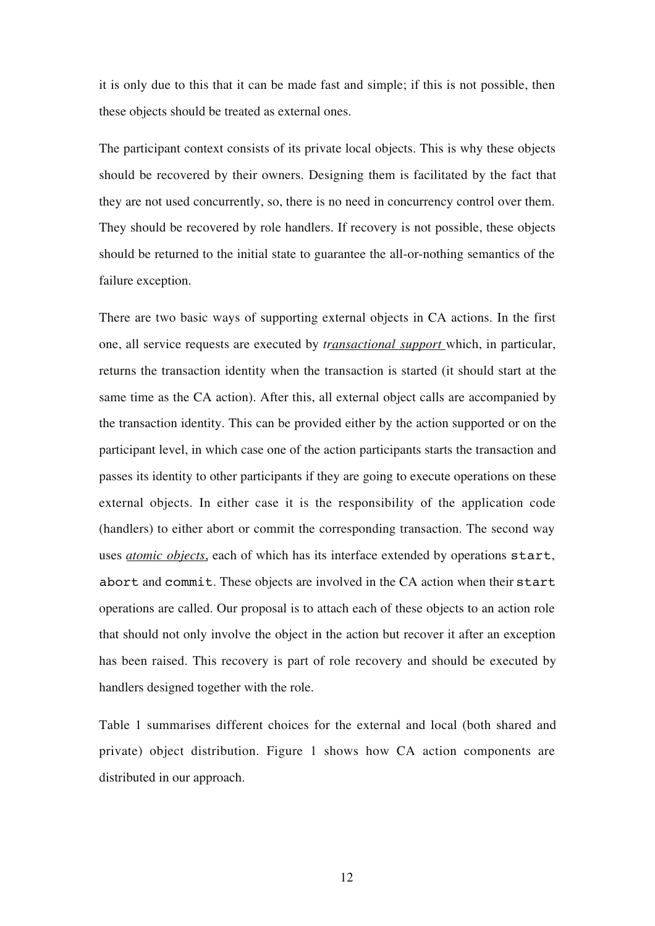it is only due to this that it can be made fast and simple; if this is not possible, then these objects should be treated as external ones.

The participant context consists of its private local objects. This is why these objects should be recovered by their owners. Designing them is facilitated by the fact that they are not used concurrently, so, there is no need in concurrency control over them. They should be recovered by role handlers. If recovery is not possible, these objects should be returned to the initial state to guarantee the all-or-nothing semantics of the failure exception.

There are two basic ways of supporting external objects in CA actions. In the first one, all service requests are executed by *transactional support* which, in particular, returns the transaction identity when the transaction is started (it should start at the same time as the CA action). After this, all external object calls are accompanied by the transaction identity. This can be provided either by the action supported or on the participant level, in which case one of the action participants starts the transaction and passes its identity to other participants if they are going to execute operations on these external objects. In either case it is the responsibility of the application code (handlers) to either abort or commit the corresponding transaction. The second way uses *atomic objects*, each of which has its interface extended by operations start, abort and commit. These objects are involved in the CA action when their start operations are called. Our proposal is to attach each of these objects to an action role that should not only involve the object in the action but recover it after an exception has been raised. This recovery is part of role recovery and should be executed by handlers designed together with the role.

Table 1 summarises different choices for the external and local (both shared and private) object distribution. Figure 1 shows how CA action components are distributed in our approach.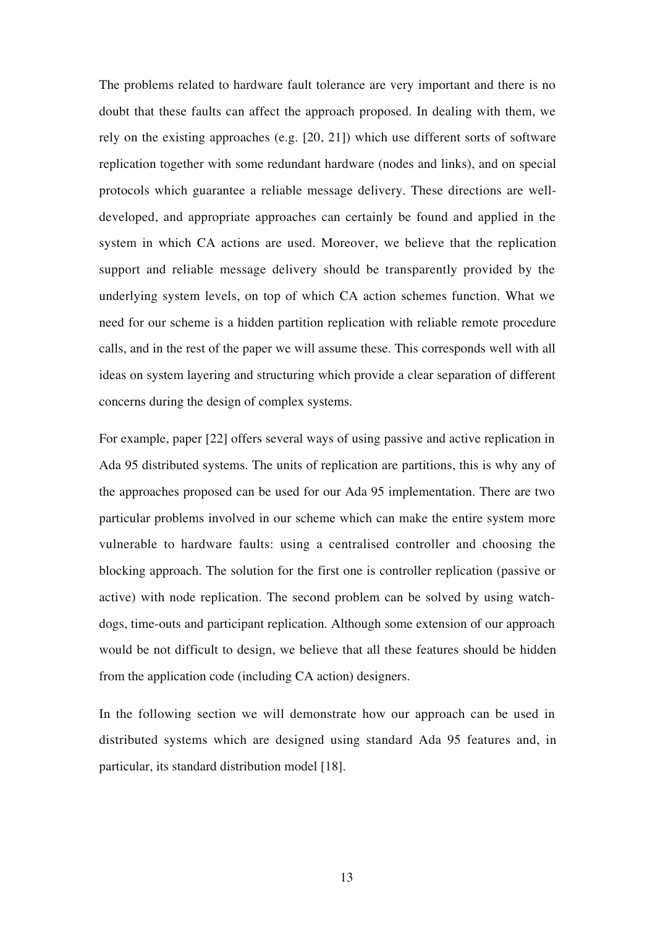The problems related to hardware fault tolerance are very important and there is no doubt that these faults can affect the approach proposed. In dealing with them, we rely on the existing approaches (e.g. [20, 21]) which use different sorts of software replication together with some redundant hardware (nodes and links), and on special protocols which guarantee a reliable message delivery. These directions are welldeveloped, and appropriate approaches can certainly be found and applied in the system in which CA actions are used. Moreover, we believe that the replication support and reliable message delivery should be transparently provided by the underlying system levels, on top of which CA action schemes function. What we need for our scheme is a hidden partition replication with reliable remote procedure calls, and in the rest of the paper we will assume these. This corresponds well with all ideas on system layering and structuring which provide a clear separation of different concerns during the design of complex systems.

For example, paper [22] offers several ways of using passive and active replication in Ada 95 distributed systems. The units of replication are partitions, this is why any of the approaches proposed can be used for our Ada 95 implementation. There are two particular problems involved in our scheme which can make the entire system more vulnerable to hardware faults: using a centralised controller and choosing the blocking approach. The solution for the first one is controller replication (passive or active) with node replication. The second problem can be solved by using watchdogs, time-outs and participant replication. Although some extension of our approach would be not difficult to design, we believe that all these features should be hidden from the application code (including CA action) designers.

In the following section we will demonstrate how our approach can be used in distributed systems which are designed using standard Ada 95 features and, in particular, its standard distribution model [18].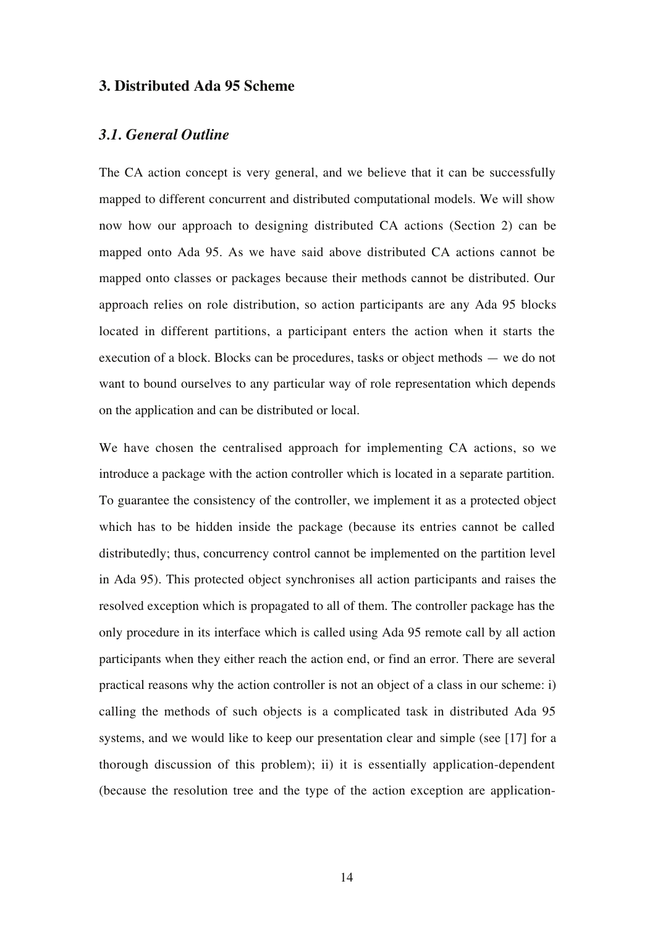### **3. Distributed Ada 95 Scheme**

### *3.1. General Outline*

The CA action concept is very general, and we believe that it can be successfully mapped to different concurrent and distributed computational models. We will show now how our approach to designing distributed CA actions (Section 2) can be mapped onto Ada 95. As we have said above distributed CA actions cannot be mapped onto classes or packages because their methods cannot be distributed. Our approach relies on role distribution, so action participants are any Ada 95 blocks located in different partitions, a participant enters the action when it starts the execution of a block. Blocks can be procedures, tasks or object methods — we do not want to bound ourselves to any particular way of role representation which depends on the application and can be distributed or local.

We have chosen the centralised approach for implementing CA actions, so we introduce a package with the action controller which is located in a separate partition. To guarantee the consistency of the controller, we implement it as a protected object which has to be hidden inside the package (because its entries cannot be called distributedly; thus, concurrency control cannot be implemented on the partition level in Ada 95). This protected object synchronises all action participants and raises the resolved exception which is propagated to all of them. The controller package has the only procedure in its interface which is called using Ada 95 remote call by all action participants when they either reach the action end, or find an error. There are several practical reasons why the action controller is not an object of a class in our scheme: i) calling the methods of such objects is a complicated task in distributed Ada 95 systems, and we would like to keep our presentation clear and simple (see [17] for a thorough discussion of this problem); ii) it is essentially application-dependent (because the resolution tree and the type of the action exception are application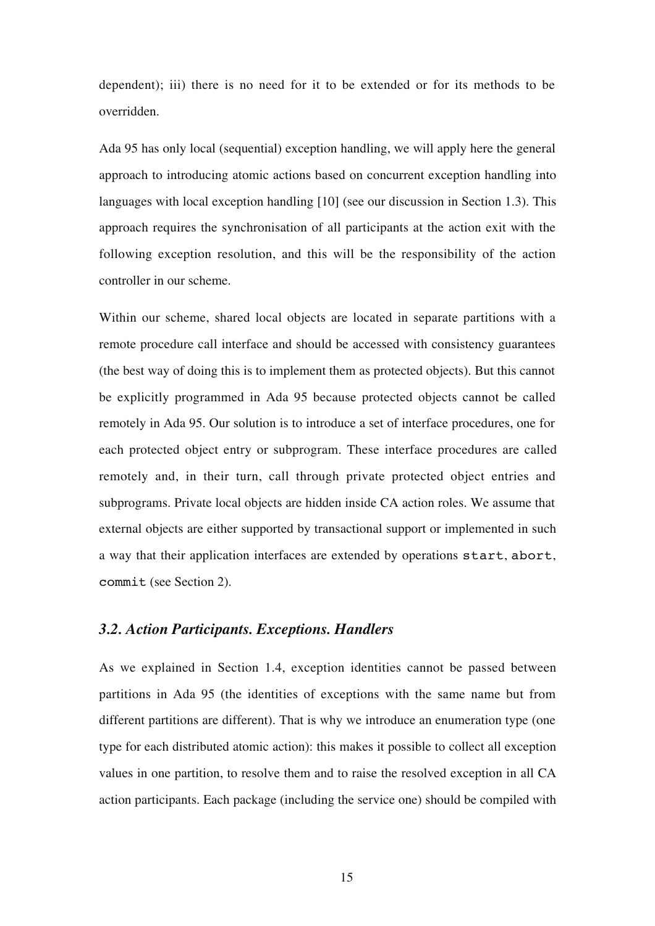dependent); iii) there is no need for it to be extended or for its methods to be overridden.

Ada 95 has only local (sequential) exception handling, we will apply here the general approach to introducing atomic actions based on concurrent exception handling into languages with local exception handling [10] (see our discussion in Section 1.3). This approach requires the synchronisation of all participants at the action exit with the following exception resolution, and this will be the responsibility of the action controller in our scheme.

Within our scheme, shared local objects are located in separate partitions with a remote procedure call interface and should be accessed with consistency guarantees (the best way of doing this is to implement them as protected objects). But this cannot be explicitly programmed in Ada 95 because protected objects cannot be called remotely in Ada 95. Our solution is to introduce a set of interface procedures, one for each protected object entry or subprogram. These interface procedures are called remotely and, in their turn, call through private protected object entries and subprograms. Private local objects are hidden inside CA action roles. We assume that external objects are either supported by transactional support or implemented in such a way that their application interfaces are extended by operations start, abort, commit (see Section 2).

# *3.2. Action Participants. Exceptions. Handlers*

As we explained in Section 1.4, exception identities cannot be passed between partitions in Ada 95 (the identities of exceptions with the same name but from different partitions are different). That is why we introduce an enumeration type (one type for each distributed atomic action): this makes it possible to collect all exception values in one partition, to resolve them and to raise the resolved exception in all CA action participants. Each package (including the service one) should be compiled with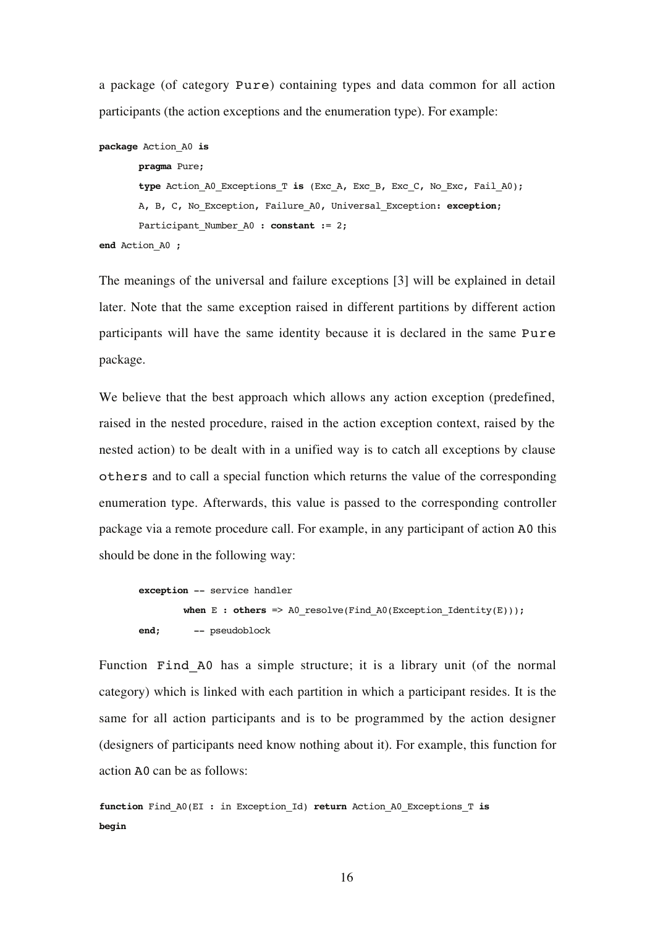a package (of category Pure) containing types and data common for all action participants (the action exceptions and the enumeration type). For example:

```
package Action_A0 is
       pragma Pure;
       type Action A0 Exceptions T is (Exc A, Exc B, Exc C, No Exc, Fail A0);
        A, B, C, No_Exception, Failure_A0, Universal_Exception: exception;
       Participant Number A0 : constant := 2;
end Action_A0 ;
```
The meanings of the universal and failure exceptions [3] will be explained in detail later. Note that the same exception raised in different partitions by different action participants will have the same identity because it is declared in the same Pure package.

We believe that the best approach which allows any action exception (predefined, raised in the nested procedure, raised in the action exception context, raised by the nested action) to be dealt with in a unified way is to catch all exceptions by clause others and to call a special function which returns the value of the corresponding enumeration type. Afterwards, this value is passed to the corresponding controller package via a remote procedure call. For example, in any participant of action A0 this should be done in the following way:

```
exception -- service handler
       when E : others => A0 resolve(Find A0(Exception Identity(E)));
 end; -- pseudoblock
```
Function Find A0 has a simple structure; it is a library unit (of the normal category) which is linked with each partition in which a participant resides. It is the same for all action participants and is to be programmed by the action designer (designers of participants need know nothing about it). For example, this function for action A0 can be as follows:

**function** Find\_A0(EI : in Exception\_Id) **return** Action\_A0\_Exceptions\_T **is begin**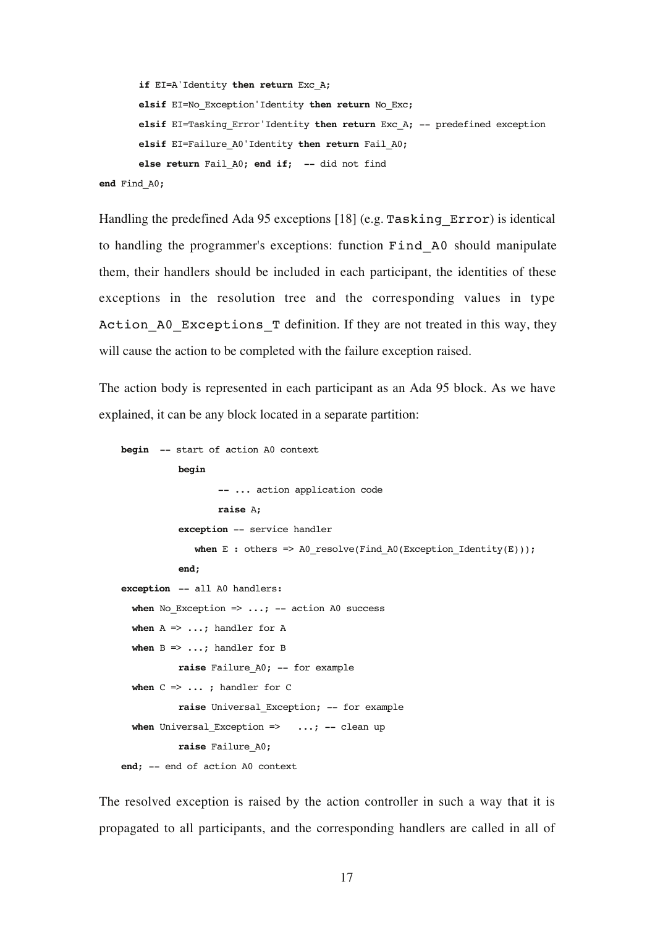```
if EI=A'Identity then return Exc_A;
       elsif EI=No_Exception'Identity then return No_Exc;
       elsif EI=Tasking_Error'Identity then return Exc_A; -- predefined exception
       elsif EI=Failure_A0'Identity then return Fail_A0;
       else return Fail_A0; end if; -- did not find
end Find_A0;
```
Handling the predefined Ada 95 exceptions [18] (e.g. Tasking Error) is identical to handling the programmer's exceptions: function Find\_A0 should manipulate them, their handlers should be included in each participant, the identities of these exceptions in the resolution tree and the corresponding values in type Action A0 Exceptions T definition. If they are not treated in this way, they will cause the action to be completed with the failure exception raised.

The action body is represented in each participant as an Ada 95 block. As we have explained, it can be any block located in a separate partition:

```
 begin -- start of action A0 context
            begin
                    -- ... action application code
                    raise A;
            exception -- service handler
              when E : others => A0 resolve(Find A0(Exception Identity(E)));
            end;
 exception -- all A0 handlers:
  when No Exception \Rightarrow ...; -- action A0 success
  when A \Rightarrow ...; handler for Awhen B \Rightarrow ...; handler for Braise Failure_A0; -- for example
   when C => ... ; handler for C
           raise Universal_Exception; -- for example
  when Universal Exception => ...; -- clean up
           raise Failure_A0;
 end; -- end of action A0 context
```
The resolved exception is raised by the action controller in such a way that it is propagated to all participants, and the corresponding handlers are called in all of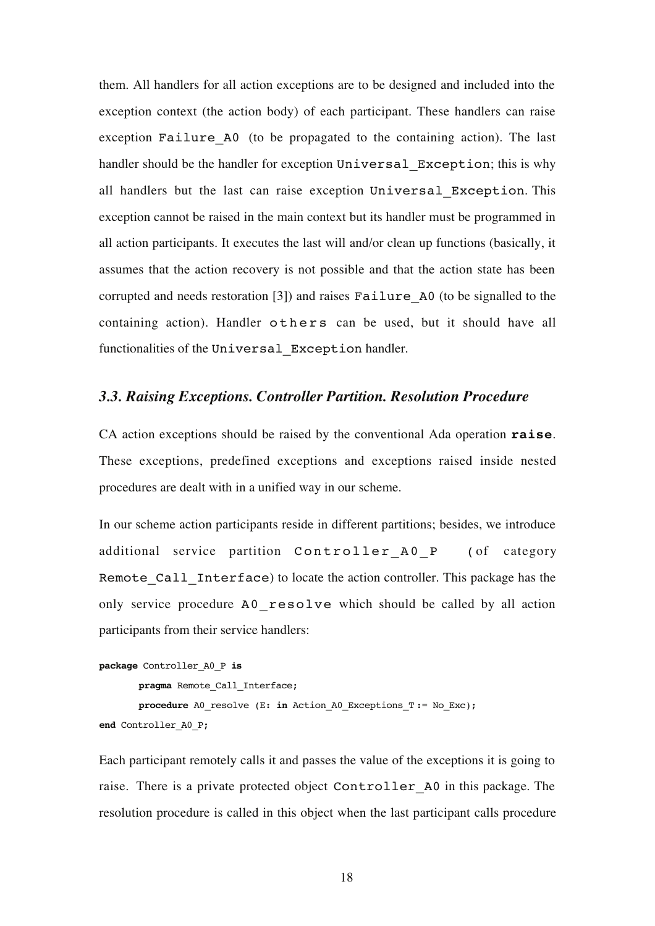them. All handlers for all action exceptions are to be designed and included into the exception context (the action body) of each participant. These handlers can raise exception Failure A0 (to be propagated to the containing action). The last handler should be the handler for exception Universal Exception; this is why all handlers but the last can raise exception Universal\_Exception. This exception cannot be raised in the main context but its handler must be programmed in all action participants. It executes the last will and/or clean up functions (basically, it assumes that the action recovery is not possible and that the action state has been corrupted and needs restoration [3]) and raises Failure\_A0 (to be signalled to the containing action). Handler others can be used, but it should have all functionalities of the Universal Exception handler.

#### *3.3. Raising Exceptions. Controller Partition. Resolution Procedure*

CA action exceptions should be raised by the conventional Ada operation **raise**. These exceptions, predefined exceptions and exceptions raised inside nested procedures are dealt with in a unified way in our scheme.

In our scheme action participants reside in different partitions; besides, we introduce additional service partition Controller A0 P (of category Remote Call Interface) to locate the action controller. This package has the only service procedure A0 resolve which should be called by all action participants from their service handlers:

```
package Controller_A0_P is
       pragma Remote_Call_Interface;
       procedure A0_resolve (E: in Action_A0_Exceptions_T := No_Exc);
end Controller_A0_P;
```
Each participant remotely calls it and passes the value of the exceptions it is going to raise. There is a private protected object Controller A0 in this package. The resolution procedure is called in this object when the last participant calls procedure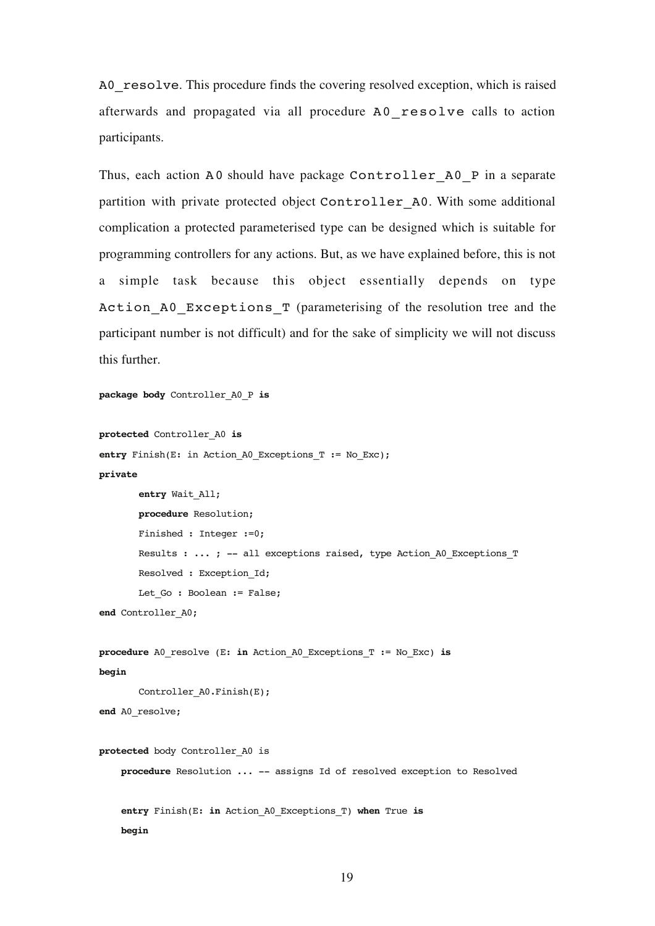A0\_resolve. This procedure finds the covering resolved exception, which is raised afterwards and propagated via all procedure A0\_resolve calls to action participants.

Thus, each action A0 should have package Controller A0 P in a separate partition with private protected object Controller A0. With some additional complication a protected parameterised type can be designed which is suitable for programming controllers for any actions. But, as we have explained before, this is not a simple task because this object essentially depends on type Action A0 Exceptions T (parameterising of the resolution tree and the participant number is not difficult) and for the sake of simplicity we will not discuss this further.

```
package body Controller_A0_P is
```

```
protected Controller_A0 is
entry Finish(E: in Action_A0_Exceptions_T := No_Exc);
private
        entry Wait_All;
        procedure Resolution;
        Finished : Integer :=0;
       Results : ... ; -- all exceptions raised, type Action A0 Exceptions T
        Resolved : Exception_Id;
       Let Go : Boolean := False;
end Controller_A0;
procedure A0_resolve (E: in Action_A0_Exceptions_T := No_Exc) is
begin
       Controller A0.Finish(E);
end A0_resolve;
protected body Controller_A0 is
     procedure Resolution ... -- assigns Id of resolved exception to Resolved
     entry Finish(E: in Action_A0_Exceptions_T) when True is
     begin
```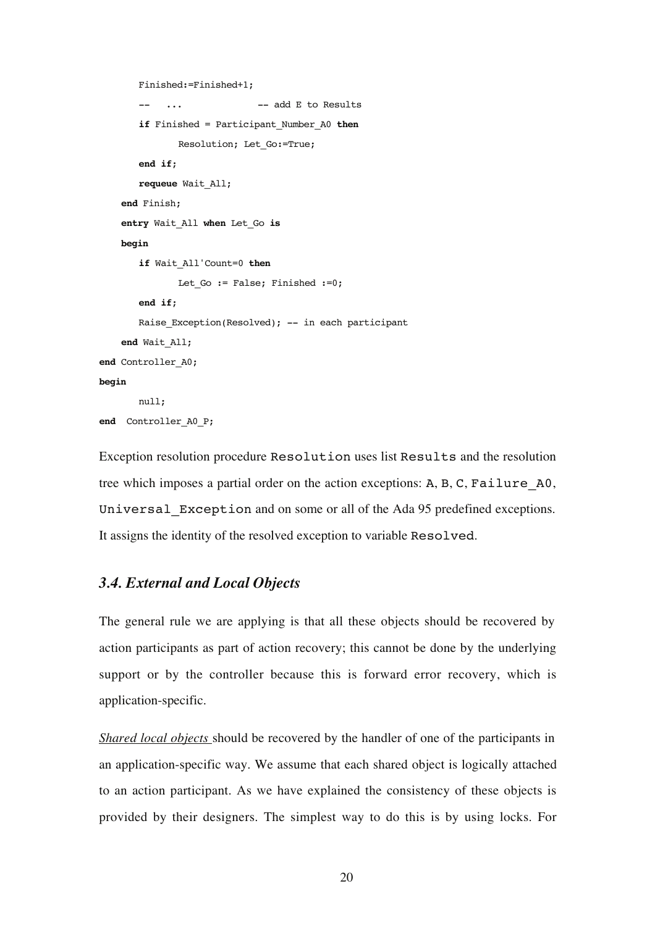```
Finished:=Finished+1;
       -- ... -- add E to Results
       if Finished = Participant_Number_A0 then
              Resolution; Let Go:=True;
       end if;
       requeue Wait_All;
     end Finish;
    entry Wait_All when Let_Go is
    begin
        if Wait_All'Count=0 then
              Let Go := False; Finished :=0; end if;
       Raise Exception(Resolved); -- in each participant
     end Wait_All;
end Controller_A0;
begin
       null;
end Controller_A0_P;
```
Exception resolution procedure Resolution uses list Results and the resolution tree which imposes a partial order on the action exceptions: A, B, C, Failure\_A0, Universal Exception and on some or all of the Ada 95 predefined exceptions. It assigns the identity of the resolved exception to variable Resolved.

# *3.4. External and Local Objects*

The general rule we are applying is that all these objects should be recovered by action participants as part of action recovery; this cannot be done by the underlying support or by the controller because this is forward error recovery, which is application-specific.

*Shared local objects* should be recovered by the handler of one of the participants in an application-specific way. We assume that each shared object is logically attached to an action participant. As we have explained the consistency of these objects is provided by their designers. The simplest way to do this is by using locks. For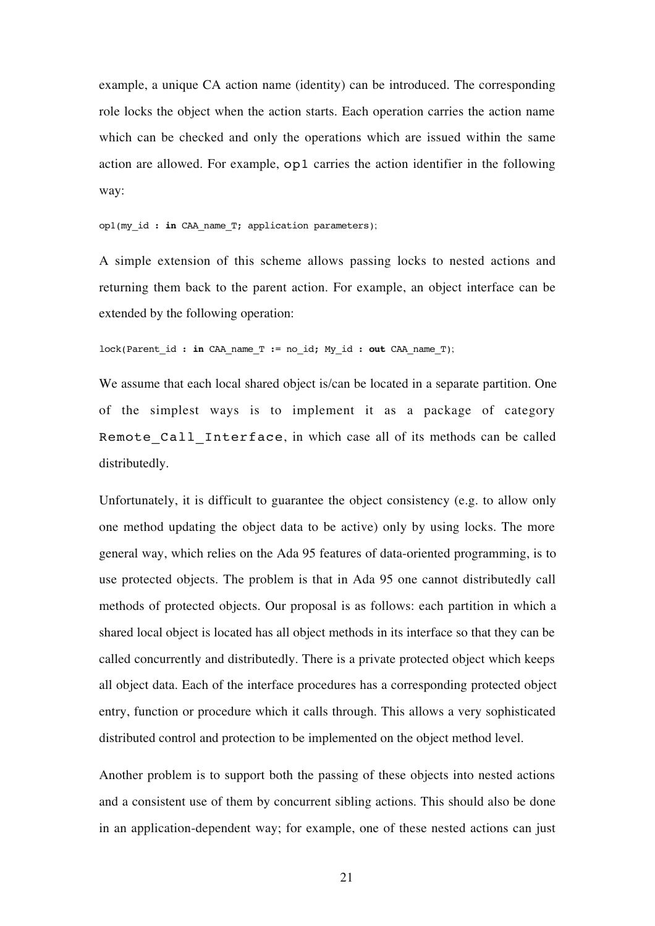example, a unique CA action name (identity) can be introduced. The corresponding role locks the object when the action starts. Each operation carries the action name which can be checked and only the operations which are issued within the same action are allowed. For example, op1 carries the action identifier in the following way:

op1(my\_id : **in** CAA\_name\_T; application parameters);

A simple extension of this scheme allows passing locks to nested actions and returning them back to the parent action. For example, an object interface can be extended by the following operation:

lock(Parent\_id : **in** CAA\_name\_T := no\_id; My\_id : **out** CAA\_name\_T);

We assume that each local shared object is/can be located in a separate partition. One of the simplest ways is to implement it as a package of category Remote Call Interface, in which case all of its methods can be called distributedly.

Unfortunately, it is difficult to guarantee the object consistency (e.g. to allow only one method updating the object data to be active) only by using locks. The more general way, which relies on the Ada 95 features of data-oriented programming, is to use protected objects. The problem is that in Ada 95 one cannot distributedly call methods of protected objects. Our proposal is as follows: each partition in which a shared local object is located has all object methods in its interface so that they can be called concurrently and distributedly. There is a private protected object which keeps all object data. Each of the interface procedures has a corresponding protected object entry, function or procedure which it calls through. This allows a very sophisticated distributed control and protection to be implemented on the object method level.

Another problem is to support both the passing of these objects into nested actions and a consistent use of them by concurrent sibling actions. This should also be done in an application-dependent way; for example, one of these nested actions can just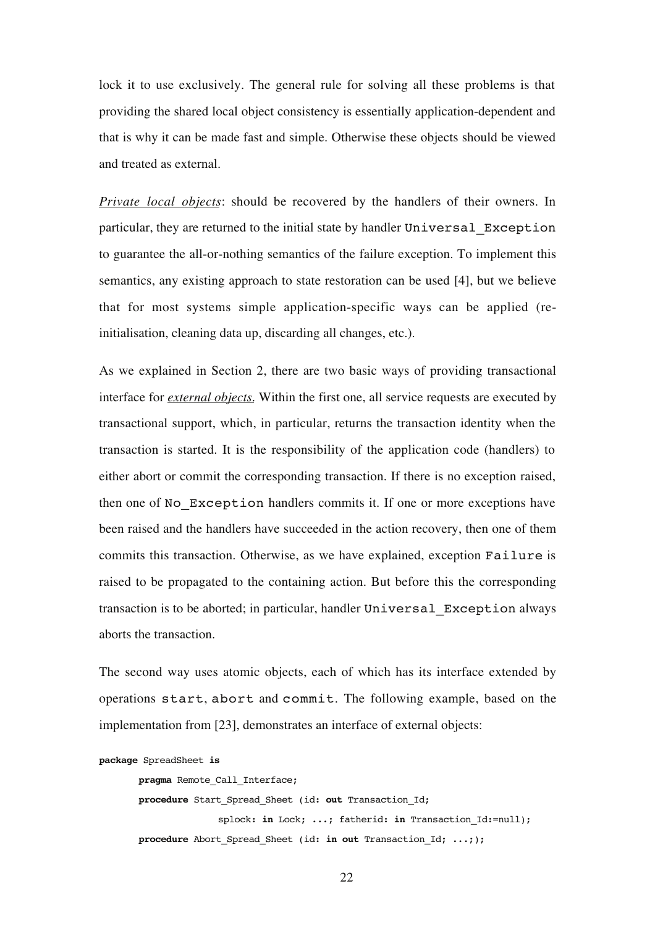lock it to use exclusively. The general rule for solving all these problems is that providing the shared local object consistency is essentially application-dependent and that is why it can be made fast and simple. Otherwise these objects should be viewed and treated as external.

*Private local objects*: should be recovered by the handlers of their owners. In particular, they are returned to the initial state by handler Universal\_Exception to guarantee the all-or-nothing semantics of the failure exception. To implement this semantics, any existing approach to state restoration can be used [4], but we believe that for most systems simple application-specific ways can be applied (reinitialisation, cleaning data up, discarding all changes, etc.).

As we explained in Section 2, there are two basic ways of providing transactional interface for *external objects*. Within the first one, all service requests are executed by transactional support, which, in particular, returns the transaction identity when the transaction is started. It is the responsibility of the application code (handlers) to either abort or commit the corresponding transaction. If there is no exception raised, then one of No Exception handlers commits it. If one or more exceptions have been raised and the handlers have succeeded in the action recovery, then one of them commits this transaction. Otherwise, as we have explained, exception Failure is raised to be propagated to the containing action. But before this the corresponding transaction is to be aborted; in particular, handler Universal\_Exception always aborts the transaction.

The second way uses atomic objects, each of which has its interface extended by operations start, abort and commit. The following example, based on the implementation from [23], demonstrates an interface of external objects:

```
package SpreadSheet is
```
**pragma** Remote\_Call\_Interface; **procedure** Start\_Spread\_Sheet (id: **out** Transaction\_Id; splock: in Lock; ...; fatherid: in Transaction Id:=null); **procedure** Abort\_Spread\_Sheet (id: **in out** Transaction\_Id; ...;);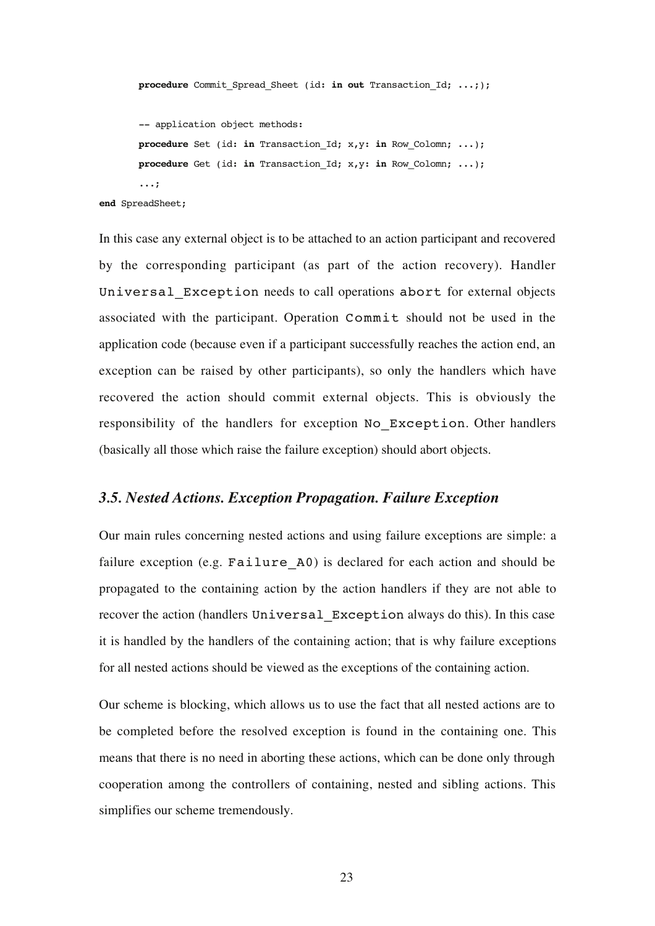```
procedure Commit_Spread_Sheet (id: in out Transaction_Id; ...;);
       -- application object methods:
       procedure Set (id: in Transaction_Id; x,y: in Row_Colomn; ...);
       procedure Get (id: in Transaction_Id; x,y: in Row_Colomn; ...);
       ...;
end SpreadSheet;
```
In this case any external object is to be attached to an action participant and recovered by the corresponding participant (as part of the action recovery). Handler Universal\_Exception needs to call operations abort for external objects associated with the participant. Operation Commit should not be used in the application code (because even if a participant successfully reaches the action end, an exception can be raised by other participants), so only the handlers which have recovered the action should commit external objects. This is obviously the responsibility of the handlers for exception No Exception. Other handlers (basically all those which raise the failure exception) should abort objects.

#### *3.5. Nested Actions. Exception Propagation. Failure Exception*

Our main rules concerning nested actions and using failure exceptions are simple: a failure exception (e.g. Failure A0) is declared for each action and should be propagated to the containing action by the action handlers if they are not able to recover the action (handlers Universal\_Exception always do this). In this case it is handled by the handlers of the containing action; that is why failure exceptions for all nested actions should be viewed as the exceptions of the containing action.

Our scheme is blocking, which allows us to use the fact that all nested actions are to be completed before the resolved exception is found in the containing one. This means that there is no need in aborting these actions, which can be done only through cooperation among the controllers of containing, nested and sibling actions. This simplifies our scheme tremendously.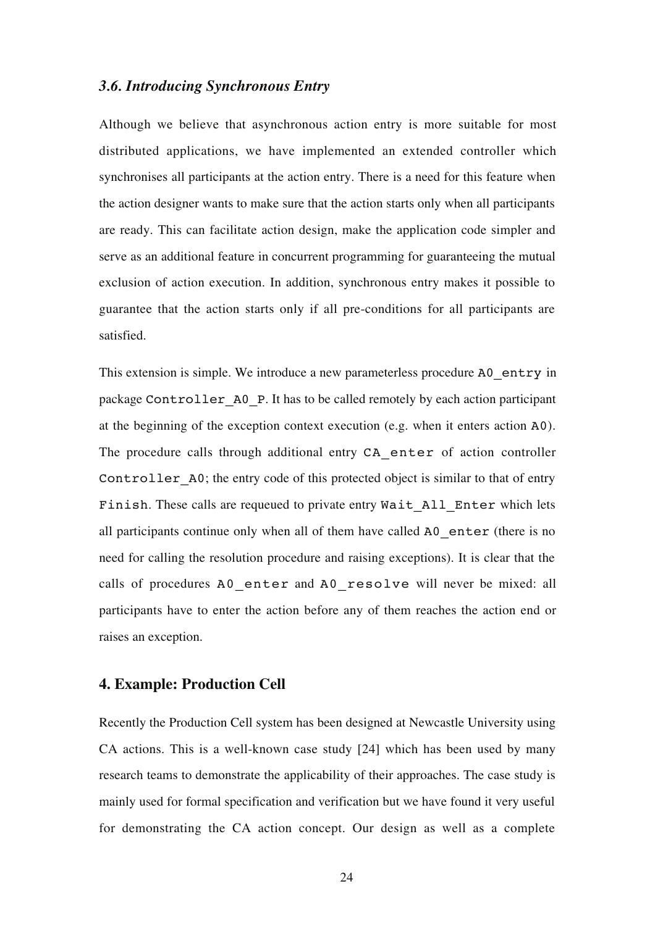# *3.6. Introducing Synchronous Entry*

Although we believe that asynchronous action entry is more suitable for most distributed applications, we have implemented an extended controller which synchronises all participants at the action entry. There is a need for this feature when the action designer wants to make sure that the action starts only when all participants are ready. This can facilitate action design, make the application code simpler and serve as an additional feature in concurrent programming for guaranteeing the mutual exclusion of action execution. In addition, synchronous entry makes it possible to guarantee that the action starts only if all pre-conditions for all participants are satisfied.

This extension is simple. We introduce a new parameterless procedure A0 entry in package Controller A0 P. It has to be called remotely by each action participant at the beginning of the exception context execution (e.g. when it enters action A0). The procedure calls through additional entry CA enter of action controller Controller A0; the entry code of this protected object is similar to that of entry Finish. These calls are requeued to private entry Wait All Enter which lets all participants continue only when all of them have called A0\_enter (there is no need for calling the resolution procedure and raising exceptions). It is clear that the calls of procedures A0 enter and A0 resolve will never be mixed: all participants have to enter the action before any of them reaches the action end or raises an exception.

# **4. Example: Production Cell**

Recently the Production Cell system has been designed at Newcastle University using CA actions. This is a well-known case study [24] which has been used by many research teams to demonstrate the applicability of their approaches. The case study is mainly used for formal specification and verification but we have found it very useful for demonstrating the CA action concept. Our design as well as a complete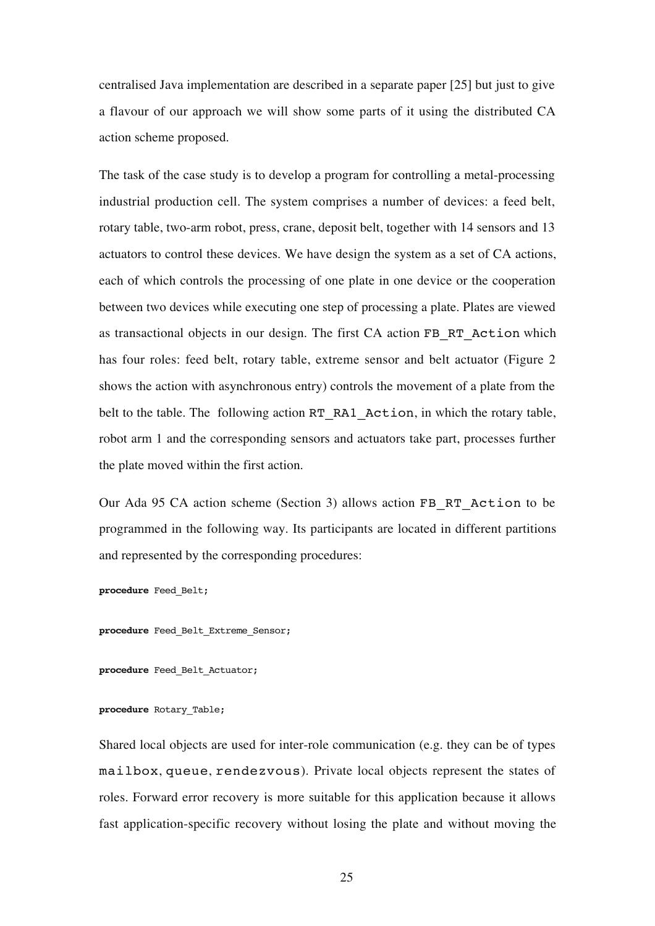centralised Java implementation are described in a separate paper [25] but just to give a flavour of our approach we will show some parts of it using the distributed CA action scheme proposed.

The task of the case study is to develop a program for controlling a metal-processing industrial production cell. The system comprises a number of devices: a feed belt, rotary table, two-arm robot, press, crane, deposit belt, together with 14 sensors and 13 actuators to control these devices. We have design the system as a set of CA actions, each of which controls the processing of one plate in one device or the cooperation between two devices while executing one step of processing a plate. Plates are viewed as transactional objects in our design. The first CA action FB\_RT\_Action which has four roles: feed belt, rotary table, extreme sensor and belt actuator (Figure 2 shows the action with asynchronous entry) controls the movement of a plate from the belt to the table. The following action RT\_RA1\_Action, in which the rotary table, robot arm 1 and the corresponding sensors and actuators take part, processes further the plate moved within the first action.

Our Ada 95 CA action scheme (Section 3) allows action FB\_RT\_Action to be programmed in the following way. Its participants are located in different partitions and represented by the corresponding procedures:

```
procedure Feed_Belt;
```

```
procedure Feed_Belt_Extreme_Sensor;
```
**procedure** Feed\_Belt\_Actuator;

#### **procedure** Rotary\_Table;

Shared local objects are used for inter-role communication (e.g. they can be of types mailbox, queue, rendezvous). Private local objects represent the states of roles. Forward error recovery is more suitable for this application because it allows fast application-specific recovery without losing the plate and without moving the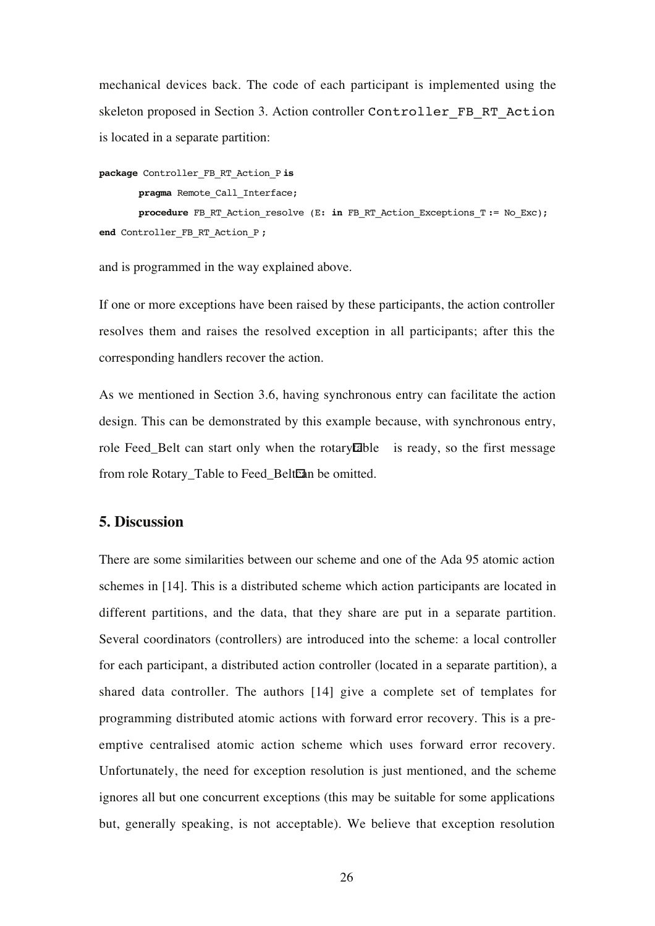mechanical devices back. The code of each participant is implemented using the skeleton proposed in Section 3. Action controller Controller\_FB\_RT\_Action is located in a separate partition:

```
package Controller_FB_RT_Action_P is
       pragma Remote_Call_Interface;
       procedure FB_RT_Action_resolve (E: in FB_RT_Action_Exceptions_T := No_Exc);
end Controller_FB_RT_Action_P ;
```
and is programmed in the way explained above.

If one or more exceptions have been raised by these participants, the action controller resolves them and raises the resolved exception in all participants; after this the corresponding handlers recover the action.

As we mentioned in Section 3.6, having synchronous entry can facilitate the action design. This can be demonstrated by this example because, with synchronous entry, role Feed\_Belt can start only when the rotary table is ready, so the first message from role Rotary\_Table to Feed\_Beltcan be omitted.

#### **5. Discussion**

There are some similarities between our scheme and one of the Ada 95 atomic action schemes in [14]. This is a distributed scheme which action participants are located in different partitions, and the data, that they share are put in a separate partition. Several coordinators (controllers) are introduced into the scheme: a local controller for each participant, a distributed action controller (located in a separate partition), a shared data controller. The authors [14] give a complete set of templates for programming distributed atomic actions with forward error recovery. This is a preemptive centralised atomic action scheme which uses forward error recovery. Unfortunately, the need for exception resolution is just mentioned, and the scheme ignores all but one concurrent exceptions (this may be suitable for some applications but, generally speaking, is not acceptable). We believe that exception resolution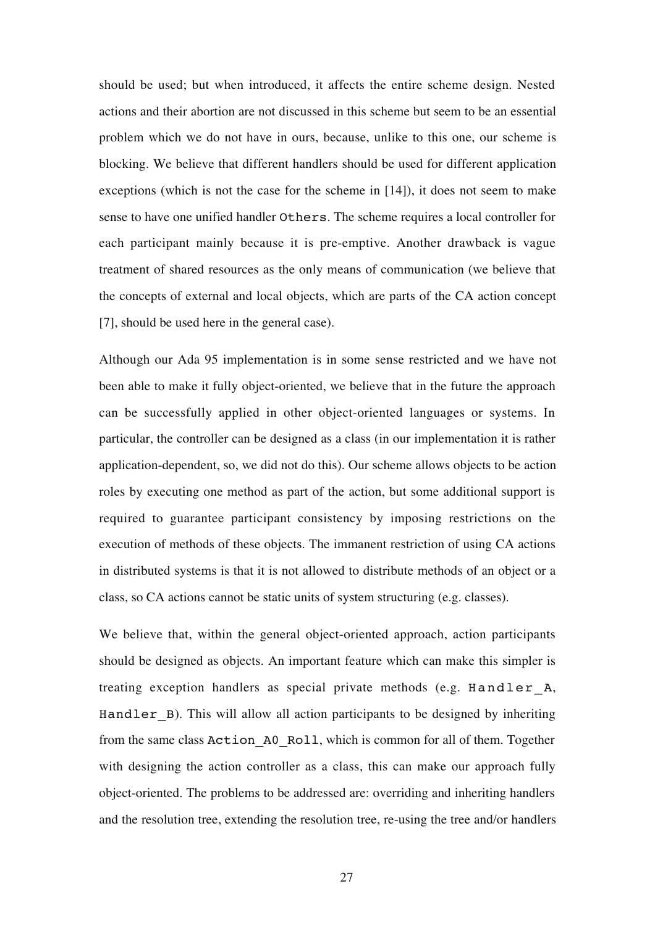should be used; but when introduced, it affects the entire scheme design. Nested actions and their abortion are not discussed in this scheme but seem to be an essential problem which we do not have in ours, because, unlike to this one, our scheme is blocking. We believe that different handlers should be used for different application exceptions (which is not the case for the scheme in [14]), it does not seem to make sense to have one unified handler Others. The scheme requires a local controller for each participant mainly because it is pre-emptive. Another drawback is vague treatment of shared resources as the only means of communication (we believe that the concepts of external and local objects, which are parts of the CA action concept [7], should be used here in the general case).

Although our Ada 95 implementation is in some sense restricted and we have not been able to make it fully object-oriented, we believe that in the future the approach can be successfully applied in other object-oriented languages or systems. In particular, the controller can be designed as a class (in our implementation it is rather application-dependent, so, we did not do this). Our scheme allows objects to be action roles by executing one method as part of the action, but some additional support is required to guarantee participant consistency by imposing restrictions on the execution of methods of these objects. The immanent restriction of using CA actions in distributed systems is that it is not allowed to distribute methods of an object or a class, so CA actions cannot be static units of system structuring (e.g. classes).

We believe that, within the general object-oriented approach, action participants should be designed as objects. An important feature which can make this simpler is treating exception handlers as special private methods (e.g. Handler\_A, Handler B). This will allow all action participants to be designed by inheriting from the same class Action\_A0\_Roll, which is common for all of them. Together with designing the action controller as a class, this can make our approach fully object-oriented. The problems to be addressed are: overriding and inheriting handlers and the resolution tree, extending the resolution tree, re-using the tree and/or handlers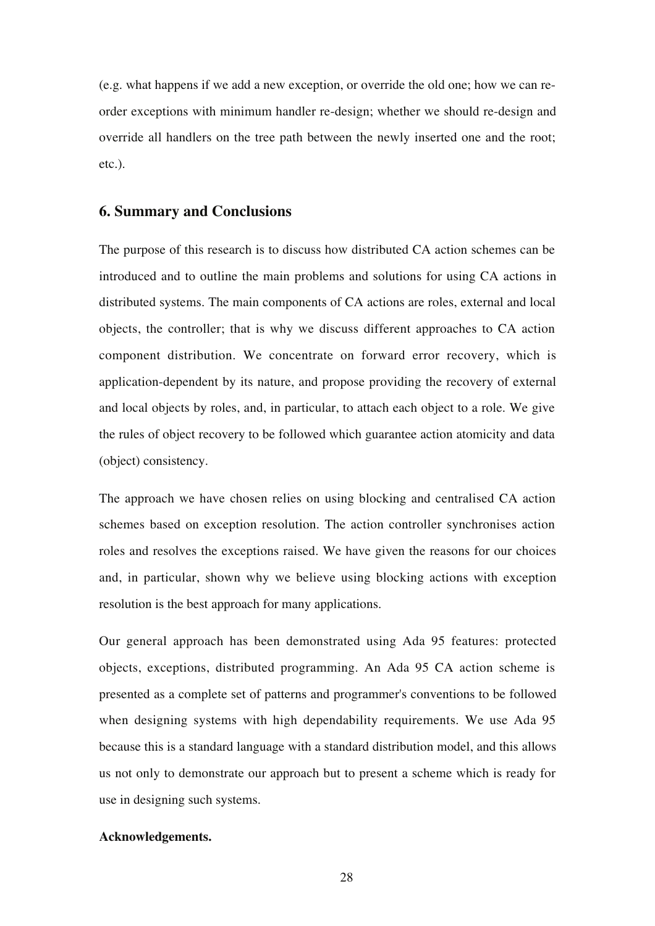(e.g. what happens if we add a new exception, or override the old one; how we can reorder exceptions with minimum handler re-design; whether we should re-design and override all handlers on the tree path between the newly inserted one and the root; etc.).

# **6. Summary and Conclusions**

The purpose of this research is to discuss how distributed CA action schemes can be introduced and to outline the main problems and solutions for using CA actions in distributed systems. The main components of CA actions are roles, external and local objects, the controller; that is why we discuss different approaches to CA action component distribution. We concentrate on forward error recovery, which is application-dependent by its nature, and propose providing the recovery of external and local objects by roles, and, in particular, to attach each object to a role. We give the rules of object recovery to be followed which guarantee action atomicity and data (object) consistency.

The approach we have chosen relies on using blocking and centralised CA action schemes based on exception resolution. The action controller synchronises action roles and resolves the exceptions raised. We have given the reasons for our choices and, in particular, shown why we believe using blocking actions with exception resolution is the best approach for many applications.

Our general approach has been demonstrated using Ada 95 features: protected objects, exceptions, distributed programming. An Ada 95 CA action scheme is presented as a complete set of patterns and programmer's conventions to be followed when designing systems with high dependability requirements. We use Ada 95 because this is a standard language with a standard distribution model, and this allows us not only to demonstrate our approach but to present a scheme which is ready for use in designing such systems.

#### **Acknowledgements.**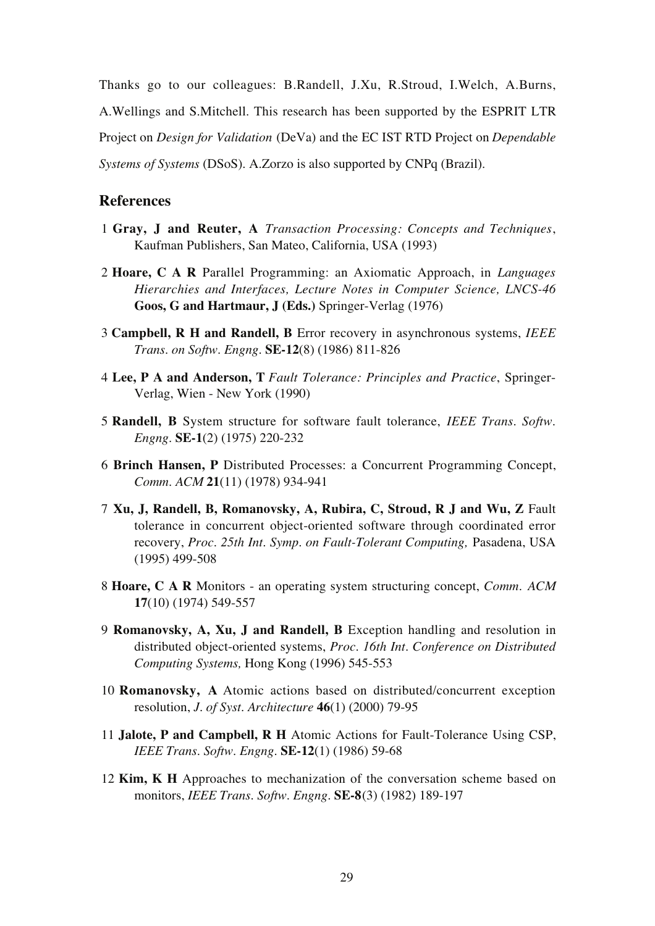Thanks go to our colleagues: B.Randell, J.Xu, R.Stroud, I.Welch, A.Burns, A.Wellings and S.Mitchell. This research has been supported by the ESPRIT LTR Project on *Design for Validation* (DeVa) and the EC IST RTD Project on *Dependable Systems of Systems* (DSoS). A.Zorzo is also supported by CNPq (Brazil).

#### **References**

- 1 **Gray, J and Reuter, A** *Transaction Processing: Concepts and Techniques*, Kaufman Publishers, San Mateo, California, USA (1993)
- 2 **Hoare, C A R** Parallel Programming: an Axiomatic Approach, in *Languages Hierarchies and Interfaces, Lecture Notes in Computer Science, LNCS-46* **Goos, G and Hartmaur, J (Eds.)** Springer-Verlag (1976)
- 3 **Campbell, R H and Randell, B** Error recovery in asynchronous systems, *IEEE Trans. on Softw. Engng.* **SE-12**(8) (1986) 811-826
- 4 **Lee, P A and Anderson, T** *Fault Tolerance: Principles and Practice*, Springer-Verlag, Wien - New York (1990)
- 5 **Randell, B** System structure for software fault tolerance, *IEEE Trans. Softw. Engng.* **SE-1**(2) (1975) 220-232
- 6 **Brinch Hansen, P** Distributed Processes: a Concurrent Programming Concept, *Comm. ACM* **21**(11) (1978) 934-941
- 7 **Xu, J, Randell, B, Romanovsky, A, Rubira, C, Stroud, R J and Wu, Z** Fault tolerance in concurrent object-oriented software through coordinated error recovery, *Proc. 25th Int. Symp. on Fault-Tolerant Computing,* Pasadena, USA (1995) 499-508
- 8 **Hoare, C A R** Monitors an operating system structuring concept, *Comm. ACM* **17**(10) (1974) 549-557
- 9 **Romanovsky, A, Xu, J and Randell, B** Exception handling and resolution in distributed object-oriented systems, *Proc. 16th Int. Conference on Distributed Computing Systems,* Hong Kong (1996) 545-553
- 10 **Romanovsky, A** Atomic actions based on distributed/concurrent exception resolution, *J. of Syst. Architecture* **46**(1) (2000) 79-95
- 11 **Jalote, P and Campbell, R H** Atomic Actions for Fault-Tolerance Using CSP, *IEEE Trans. Softw. Engng.* **SE-12**(1) (1986) 59-68
- 12 **Kim, K H** Approaches to mechanization of the conversation scheme based on monitors, *IEEE Trans. Softw. Engng.* **SE-8**(3) (1982) 189-197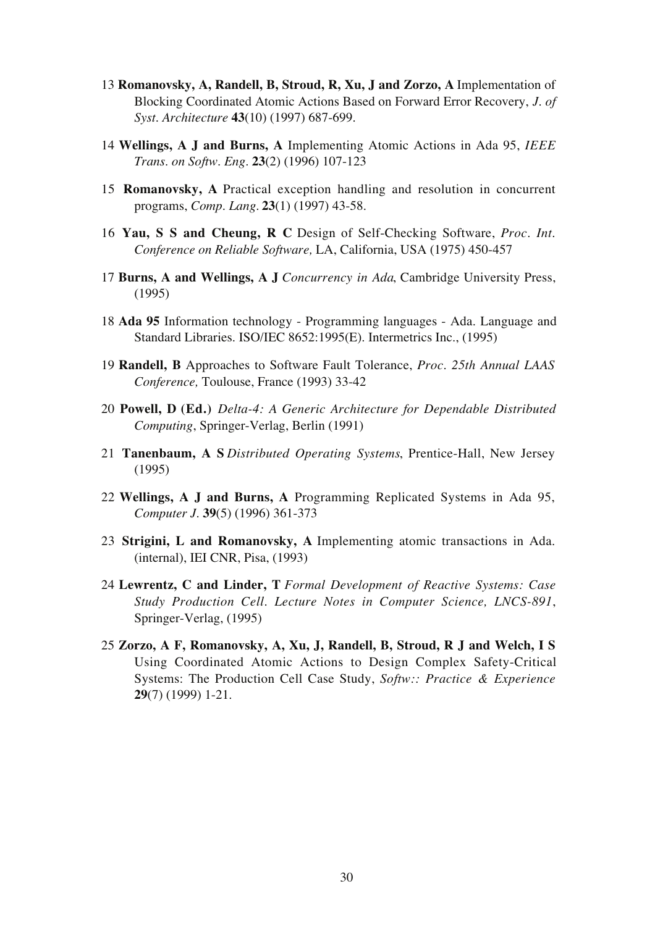- 13 **Romanovsky, A, Randell, B, Stroud, R, Xu, J and Zorzo, A** Implementation of Blocking Coordinated Atomic Actions Based on Forward Error Recovery, *J. of Syst. Architecture* **43**(10) (1997) 687-699.
- 14 **Wellings, A J and Burns, A** Implementing Atomic Actions in Ada 95, *IEEE Trans. on Softw. Eng.* **23**(2) (1996) 107-123
- 15 **Romanovsky, A** Practical exception handling and resolution in concurrent programs, *Comp. Lang.* **23**(1) (1997) 43-58.
- 16 **Yau, S S and Cheung, R C** Design of Self-Checking Software, *Proc. Int. Conference on Reliable Software,* LA, California, USA (1975) 450-457
- 17 **Burns, A and Wellings, A J** *Concurrency in Ada*, Cambridge University Press, (1995)
- 18 **Ada 95** Information technology Programming languages Ada. Language and Standard Libraries. ISO/IEC 8652:1995(E). Intermetrics Inc., (1995)
- 19 **Randell, B** Approaches to Software Fault Tolerance, *Proc. 25th Annual LAAS Conference,* Toulouse, France (1993) 33-42
- 20 **Powell, D (Ed.)** *Delta-4: A Generic Architecture for Dependable Distributed Computing*, Springer-Verlag, Berlin (1991)
- 21 **Tanenbaum, A S** *Distributed Operating Systems*, Prentice-Hall, New Jersey (1995)
- 22 **Wellings, A J and Burns, A** Programming Replicated Systems in Ada 95, *Computer J.* **39**(5) (1996) 361-373
- 23 **Strigini, L and Romanovsky, A** Implementing atomic transactions in Ada. (internal), IEI CNR, Pisa, (1993)
- 24 **Lewrentz, C and Linder, T** *Formal Development of Reactive Systems: Case Study Production Cell. Lecture Notes in Computer Science, LNCS-891*, Springer-Verlag, (1995)
- 25 **Zorzo, A F, Romanovsky, A, Xu, J, Randell, B, Stroud, R J and Welch, I S** Using Coordinated Atomic Actions to Design Complex Safety-Critical Systems: The Production Cell Case Study, *Softw:: Practice & Experience* **29**(7) (1999) 1-21.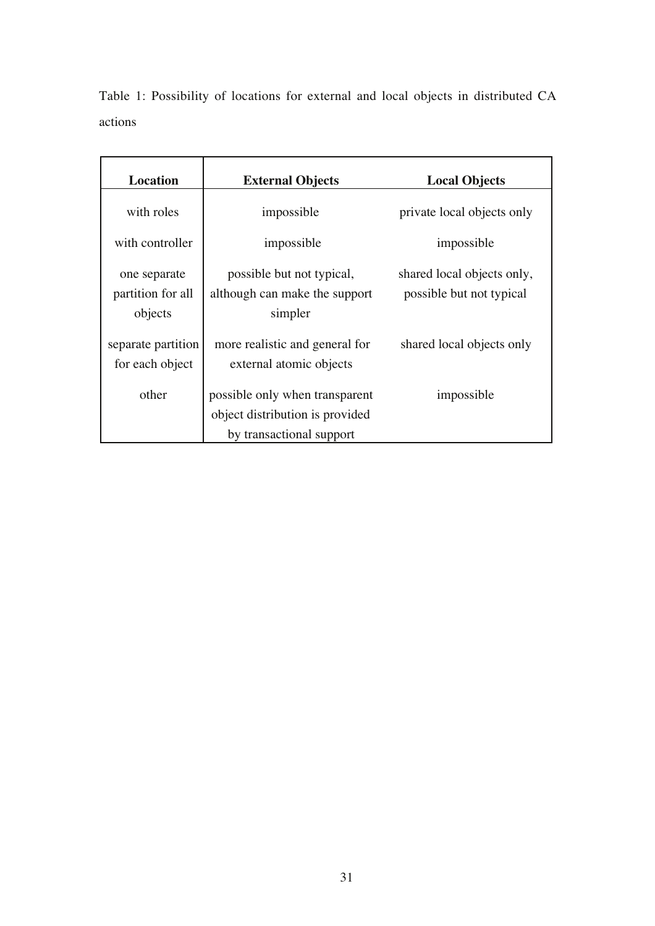Table 1: Possibility of locations for external and local objects in distributed CA actions

| Location           | <b>External Objects</b>         | <b>Local Objects</b>       |
|--------------------|---------------------------------|----------------------------|
| with roles         | impossible                      | private local objects only |
| with controller    | impossible                      | impossible                 |
| one separate       | possible but not typical,       | shared local objects only, |
| partition for all  | although can make the support   | possible but not typical   |
| objects            | simpler                         |                            |
| separate partition | more realistic and general for  | shared local objects only  |
| for each object    | external atomic objects         |                            |
| other              | possible only when transparent  | impossible                 |
|                    | object distribution is provided |                            |
|                    | by transactional support        |                            |